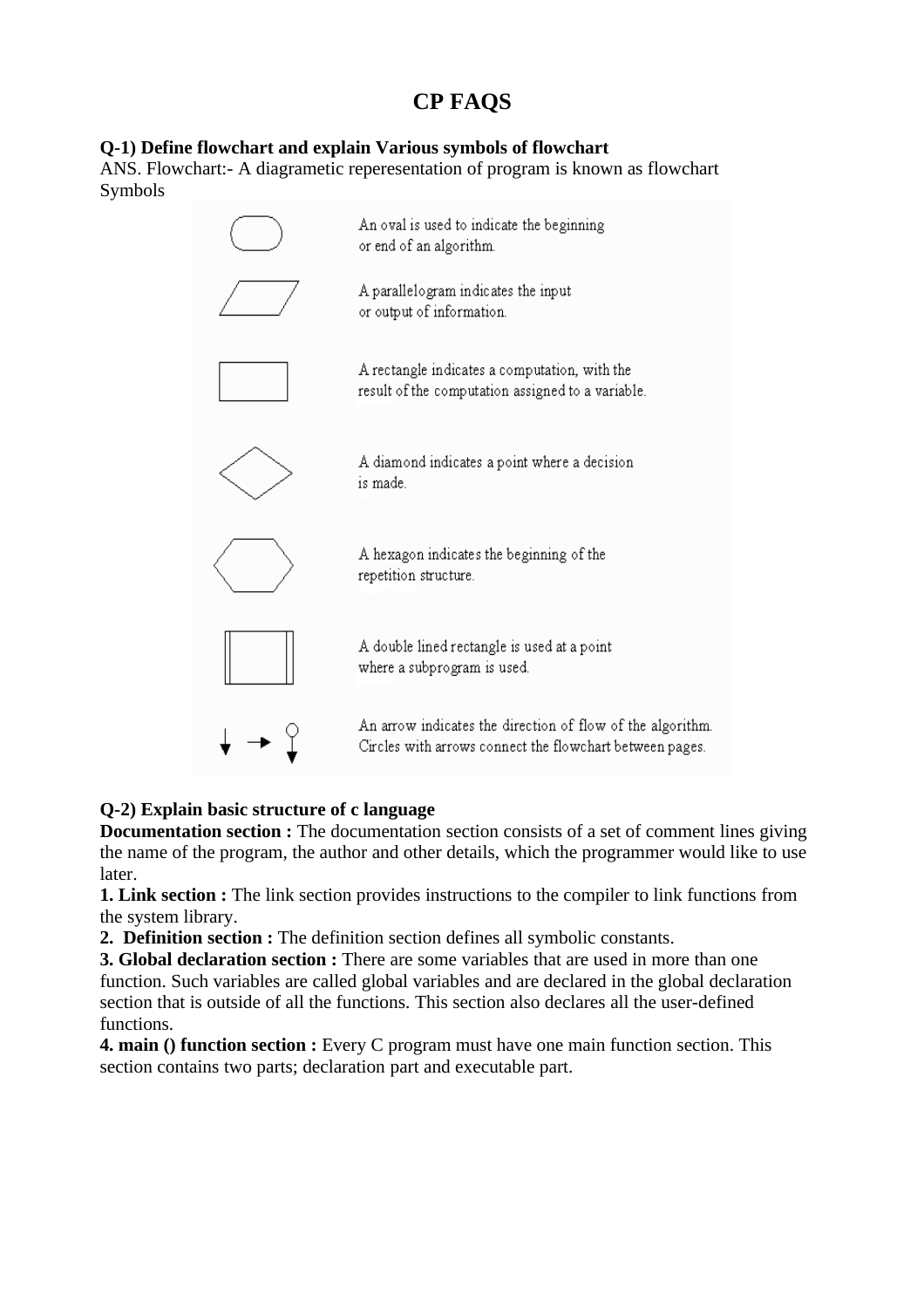# **CP FAQS**

# **Q-1) Define flowchart and explain Various symbols of flowchart**

ANS. Flowchart:- A diagrametic reperesentation of program is known as flowchart Symbols



# **Q-2) Explain basic structure of c language**

**Documentation section :** The documentation section consists of a set of comment lines giving the name of the program, the author and other details, which the programmer would like to use later.

**1. Link section :** The link section provides instructions to the compiler to link functions from the system library.

**2. Definition section :** The definition section defines all symbolic constants.

**3. Global declaration section :** There are some variables that are used in more than one function. Such variables are called global variables and are declared in the global declaration section that is outside of all the functions. This section also declares all the user-defined functions.

**4. main () function section :** Every C program must have one main function section. This section contains two parts; declaration part and executable part.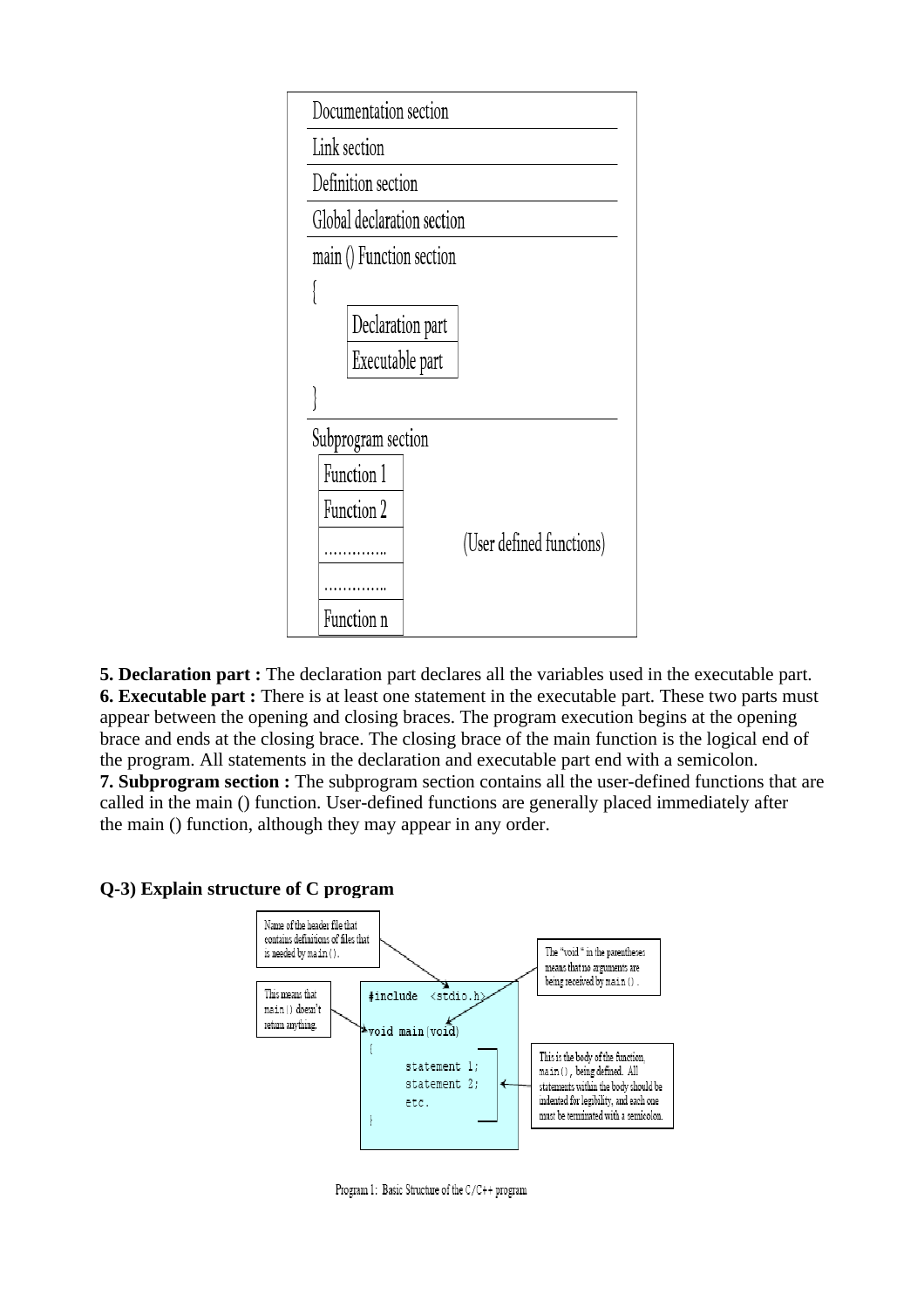| Documentation section      |                          |  |  |  |
|----------------------------|--------------------------|--|--|--|
| Link section               |                          |  |  |  |
| Definition section         |                          |  |  |  |
| Global declaration section |                          |  |  |  |
| main () Function section   |                          |  |  |  |
|                            |                          |  |  |  |
| Declaration part           |                          |  |  |  |
| Executable part            |                          |  |  |  |
|                            |                          |  |  |  |
|                            | Subprogram section       |  |  |  |
| Function 1                 |                          |  |  |  |
| Function 2                 |                          |  |  |  |
|                            | (User defined functions) |  |  |  |
|                            |                          |  |  |  |
| Function                   |                          |  |  |  |

**5. Declaration part :** The declaration part declares all the variables used in the executable part. **6. Executable part :** There is at least one statement in the executable part. These two parts must appear between the opening and closing braces. The program execution begins at the opening brace and ends at the closing brace. The closing brace of the main function is the logical end of the program. All statements in the declaration and executable part end with a semicolon. **7. Subprogram section :** The subprogram section contains all the user-defined functions that are called in the main () function. User-defined functions are generally placed immediately after the main () function, although they may appear in any order.

### **Q-3) Explain structure of C program**



Program 1: Basic Structure of the C/C++ program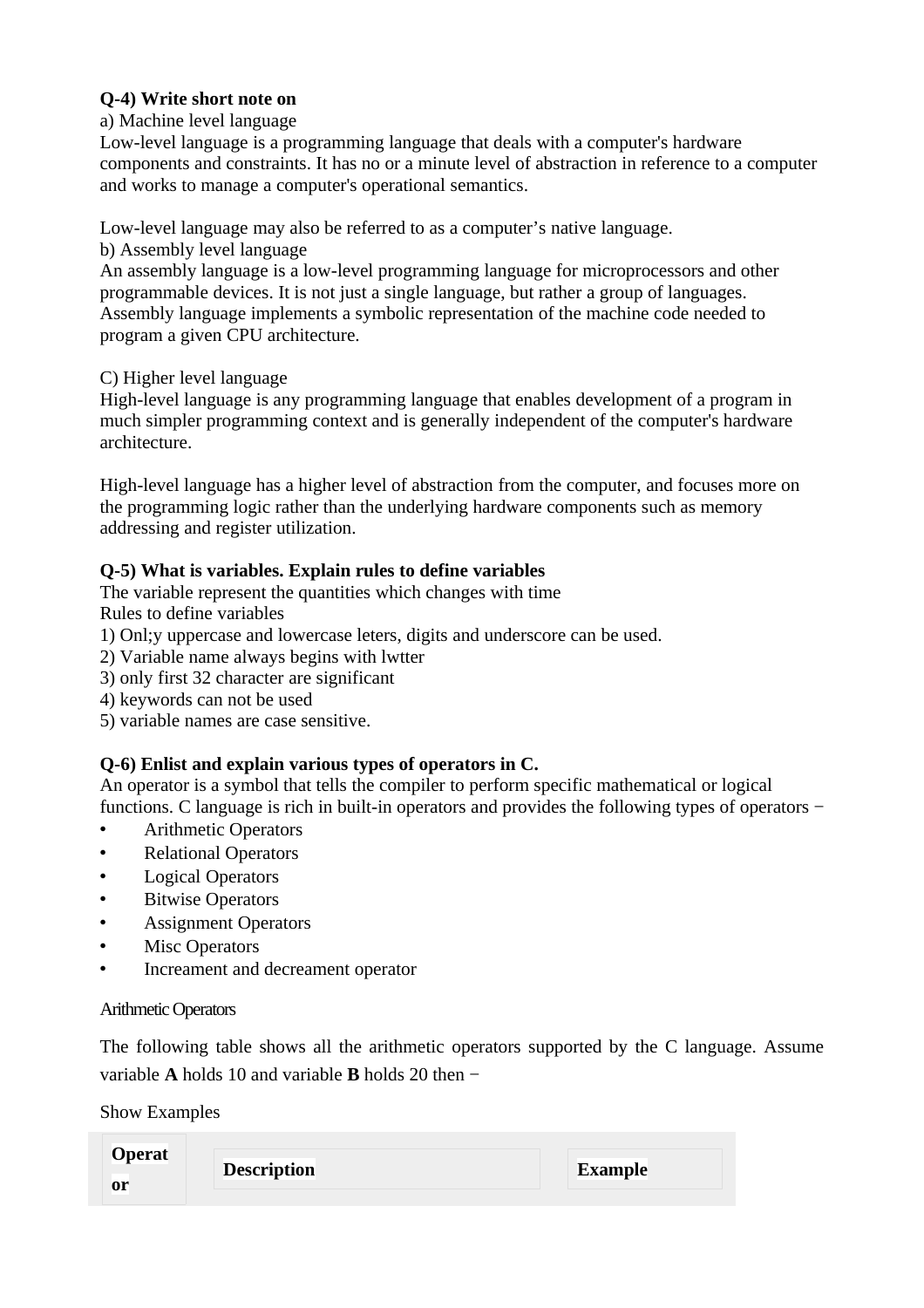### **Q-4) Write short note on**

### a) Machine level language

Low-level language is a programming language that deals with a computer's hardware components and constraints. It has no or a minute level of abstraction in reference to a computer and works to manage a computer's operational semantics.

Low-level language may also be referred to as a computer's native language.

### b) Assembly level language

An assembly language is a low-level programming language for microprocessors and other programmable devices. It is not just a single language, but rather a group of languages. Assembly language implements a symbolic representation of the machine code needed to program a given CPU architecture.

### C) Higher level language

High-level language is any programming language that enables development of a program in much simpler programming context and is generally independent of the computer's hardware architecture.

High-level language has a higher level of abstraction from the computer, and focuses more on the programming logic rather than the underlying hardware components such as memory addressing and register utilization.

# **Q-5) What is variables. Explain rules to define variables**

The variable represent the quantities which changes with time Rules to define variables

- 1) Onl;y uppercase and lowercase leters, digits and underscore can be used.
- 2) Variable name always begins with lwtter
- 3) only first 32 character are significant
- 4) keywords can not be used
- 5) variable names are case sensitive.

# **Q-6) Enlist and explain various types of operators in C.**

An operator is a symbol that tells the compiler to perform specific mathematical or logical functions. C language is rich in built-in operators and provides the following types of operators −

- Arithmetic Operators
- Relational Operators
- **Logical Operators**
- **Bitwise Operators**
- Assignment Operators
- **Misc Operators**
- Increament and decreament operator

### Arithmetic Operators

The following table shows all the arithmetic operators supported by the C language. Assume variable **A** holds 10 and variable **B** holds 20 then −

[Show Examples](http://www.tutorialspoint.com/cprogramming/c_arithmetic_operators.htm)

| <b>Operat</b><br>0r | <b>Description</b> | <b>Example</b> |
|---------------------|--------------------|----------------|
|                     |                    |                |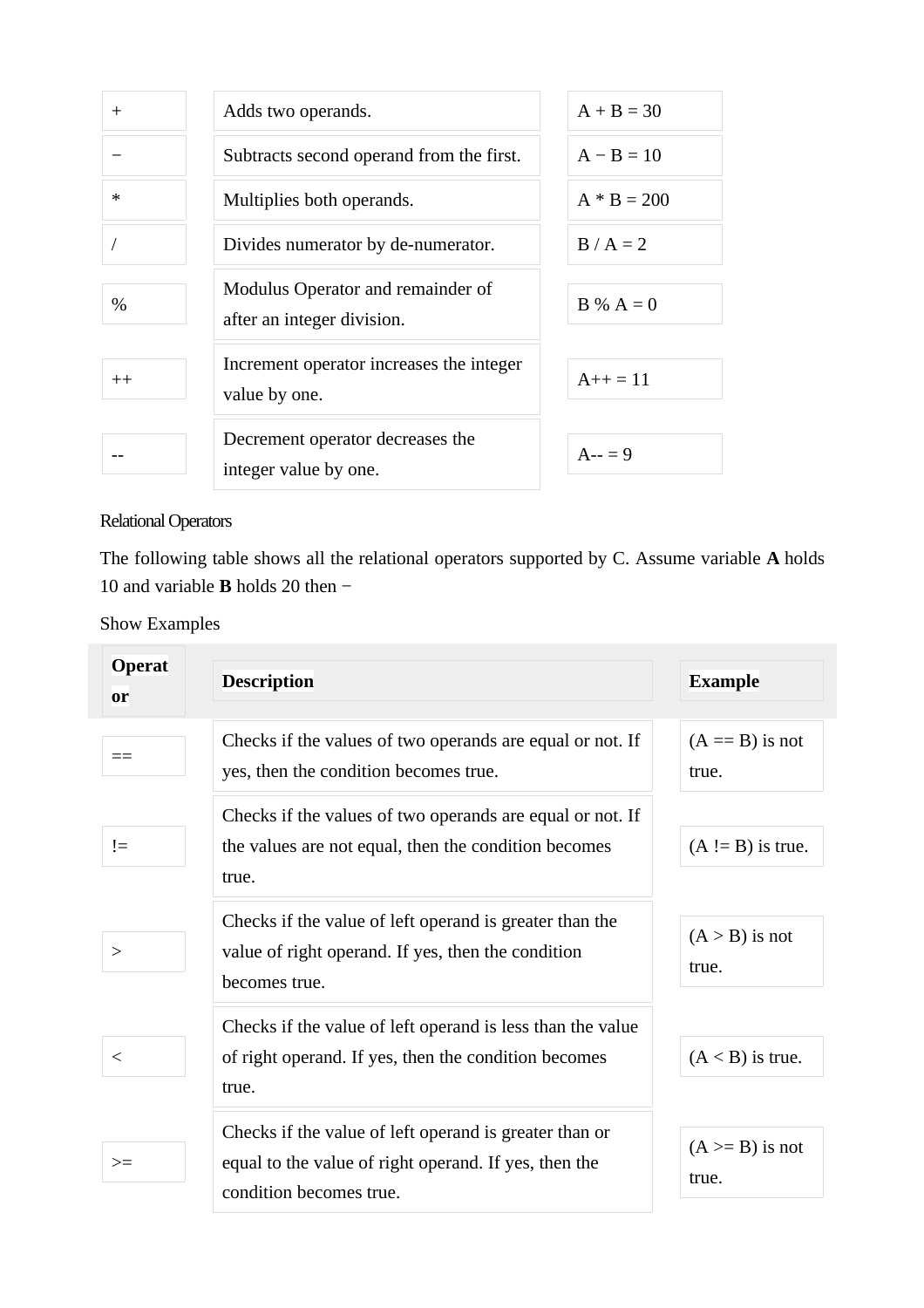| $+$           | Adds two operands.                                              | $A + B = 30$  |
|---------------|-----------------------------------------------------------------|---------------|
|               | Subtracts second operand from the first.                        | $A - B = 10$  |
| ∗             | Multiplies both operands.                                       | $A * B = 200$ |
|               | Divides numerator by de-numerator.                              | $B/A = 2$     |
| $\frac{0}{0}$ | Modulus Operator and remainder of<br>after an integer division. | $B\% A = 0$   |
| $++$          | Increment operator increases the integer<br>value by one.       | $A++=11$      |
|               | Decrement operator decreases the<br>integer value by one.       | $A-- = 9$     |

Relational Operators

The following table shows all the relational operators supported by C. Assume variable **A** holds 10 and variable **B** holds 20 then −

[Show Examples](http://www.tutorialspoint.com/cprogramming/c_relational_operators.htm)

| <b>Operat</b><br>or | <b>Description</b>                                                                                                                         | <b>Example</b>              |
|---------------------|--------------------------------------------------------------------------------------------------------------------------------------------|-----------------------------|
|                     | Checks if the values of two operands are equal or not. If<br>yes, then the condition becomes true.                                         | $(A == B)$ is not<br>true.  |
| $!=$                | Checks if the values of two operands are equal or not. If<br>the values are not equal, then the condition becomes<br>true.                 | $(A := B)$ is true.         |
| >                   | Checks if the value of left operand is greater than the<br>value of right operand. If yes, then the condition<br>becomes true.             | $(A > B)$ is not<br>true.   |
| $\lt$               | Checks if the value of left operand is less than the value<br>of right operand. If yes, then the condition becomes<br>true.                | $(A < B)$ is true.          |
| $>=$                | Checks if the value of left operand is greater than or<br>equal to the value of right operand. If yes, then the<br>condition becomes true. | $(A \ge B)$ is not<br>true. |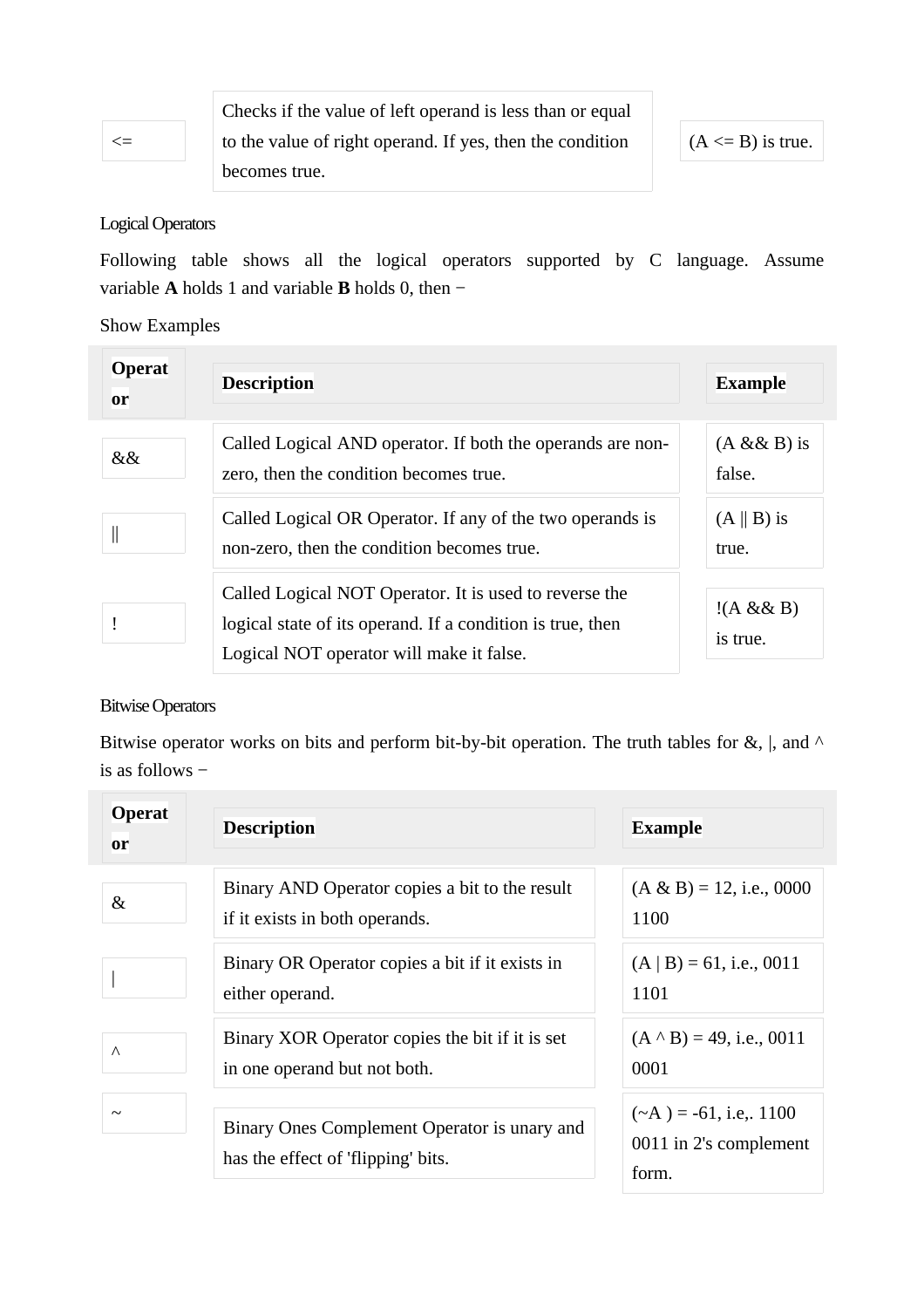| ۰.<br>v<br>۰.<br>75<br>M. | ____ |
|---------------------------|------|
|                           |      |

Checks if the value of left operand is less than or equal to the value of right operand. If yes, then the condition becomes true.

 $(A \leq B)$  is true.

#### Logical Operators

Following table shows all the logical operators supported by C language. Assume variable **A** holds 1 and variable **B** holds 0, then −

[Show Examples](http://www.tutorialspoint.com/cprogramming/c_logical_operators.htm)

| <b>Operat</b><br><sub>or</sub> | <b>Description</b>                                                                                                                                               | <b>Example</b>                |
|--------------------------------|------------------------------------------------------------------------------------------------------------------------------------------------------------------|-------------------------------|
| &&                             | Called Logical AND operator. If both the operands are non-<br>zero, then the condition becomes true.                                                             | $(A & B)$ is<br>false.        |
|                                | Called Logical OR Operator. If any of the two operands is<br>non-zero, then the condition becomes true.                                                          | $(A \parallel B)$ is<br>true. |
|                                | Called Logical NOT Operator. It is used to reverse the<br>logical state of its operand. If a condition is true, then<br>Logical NOT operator will make it false. | !(A & B)<br>is true.          |

### Bitwise Operators

Bitwise operator works on bits and perform bit-by-bit operation. The truth tables for  $\&$ , |, and  $\wedge$ is as follows −

| <b>Operat</b><br><sub>or</sub> | <b>Description</b>                                                                 | <b>Example</b>                                                  |
|--------------------------------|------------------------------------------------------------------------------------|-----------------------------------------------------------------|
| &                              | Binary AND Operator copies a bit to the result<br>if it exists in both operands.   | $(A \& B) = 12$ , i.e., 0000<br>1100                            |
|                                | Binary OR Operator copies a bit if it exists in<br>either operand.                 | $(A   B) = 61$ , i.e., 0011<br>1101                             |
| $\wedge$                       | Binary XOR Operator copies the bit if it is set<br>in one operand but not both.    | $(A \wedge B) = 49$ , i.e., 0011<br>0001                        |
| $\sim$                         | Binary Ones Complement Operator is unary and<br>has the effect of 'flipping' bits. | $(\sim A)$ = -61, i.e., 1100<br>0011 in 2's complement<br>form. |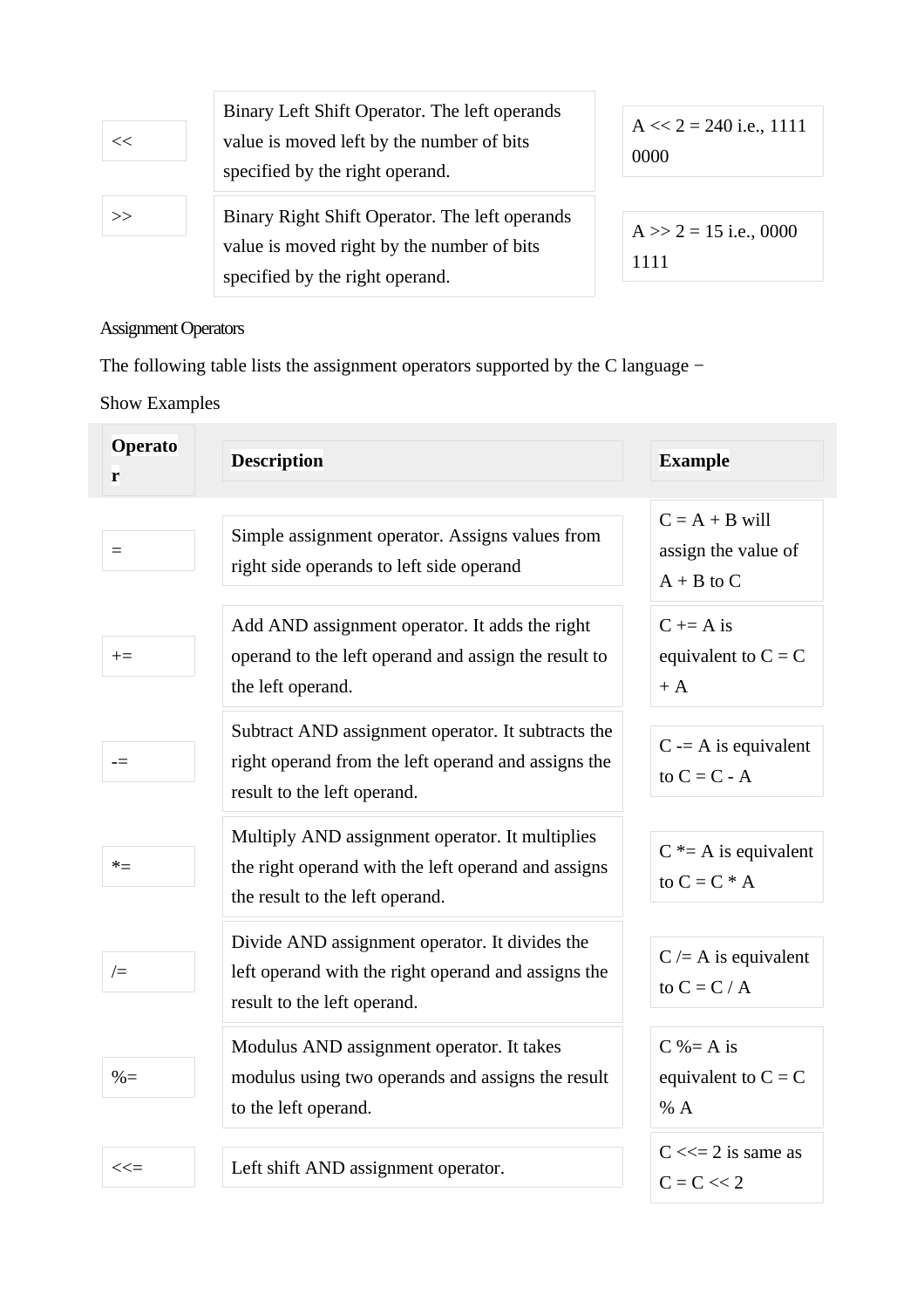| << | Binary Left Shift Operator. The left operands<br>value is moved left by the number of bits<br>specified by the right operand.   | $A \ll 2 = 240$ i.e., 1111<br>0000 |
|----|---------------------------------------------------------------------------------------------------------------------------------|------------------------------------|
| >> | Binary Right Shift Operator. The left operands<br>value is moved right by the number of bits<br>specified by the right operand. | $A \gg 2 = 15$ i.e., 0000<br>1111  |

Assignment Operators

The following table lists the assignment operators supported by the C language −

[Show Examples](http://www.tutorialspoint.com/cprogramming/c_assignment_operators.htm)

| <b>Operato</b><br>r | <b>Description</b>                                                                                                                        | <b>Example</b>                                            |
|---------------------|-------------------------------------------------------------------------------------------------------------------------------------------|-----------------------------------------------------------|
| $=$                 | Simple assignment operator. Assigns values from<br>right side operands to left side operand                                               | $C = A + B$ will<br>assign the value of<br>$A + B$ to $C$ |
| $+=$                | Add AND assignment operator. It adds the right<br>operand to the left operand and assign the result to<br>the left operand.               | $C \neq A$ is<br>equivalent to $C = C$<br>$+ A$           |
| $=$                 | Subtract AND assignment operator. It subtracts the<br>right operand from the left operand and assigns the<br>result to the left operand.  | $C = A$ is equivalent<br>to $C = C - A$                   |
| $*_{=}$             | Multiply AND assignment operator. It multiplies<br>the right operand with the left operand and assigns<br>the result to the left operand. | $C^*$ = A is equivalent<br>to $C = C * A$                 |
| $/=$                | Divide AND assignment operator. It divides the<br>left operand with the right operand and assigns the<br>result to the left operand.      | $C = A$ is equivalent<br>to $C = C / A$                   |
| $\% =$              | Modulus AND assignment operator. It takes<br>modulus using two operands and assigns the result<br>to the left operand.                    | $C$ %= A is<br>equivalent to $C = C$<br>% A               |
| $<<=$               | Left shift AND assignment operator.                                                                                                       | $C \ll 2$ is same as<br>$C = C \ll 2$                     |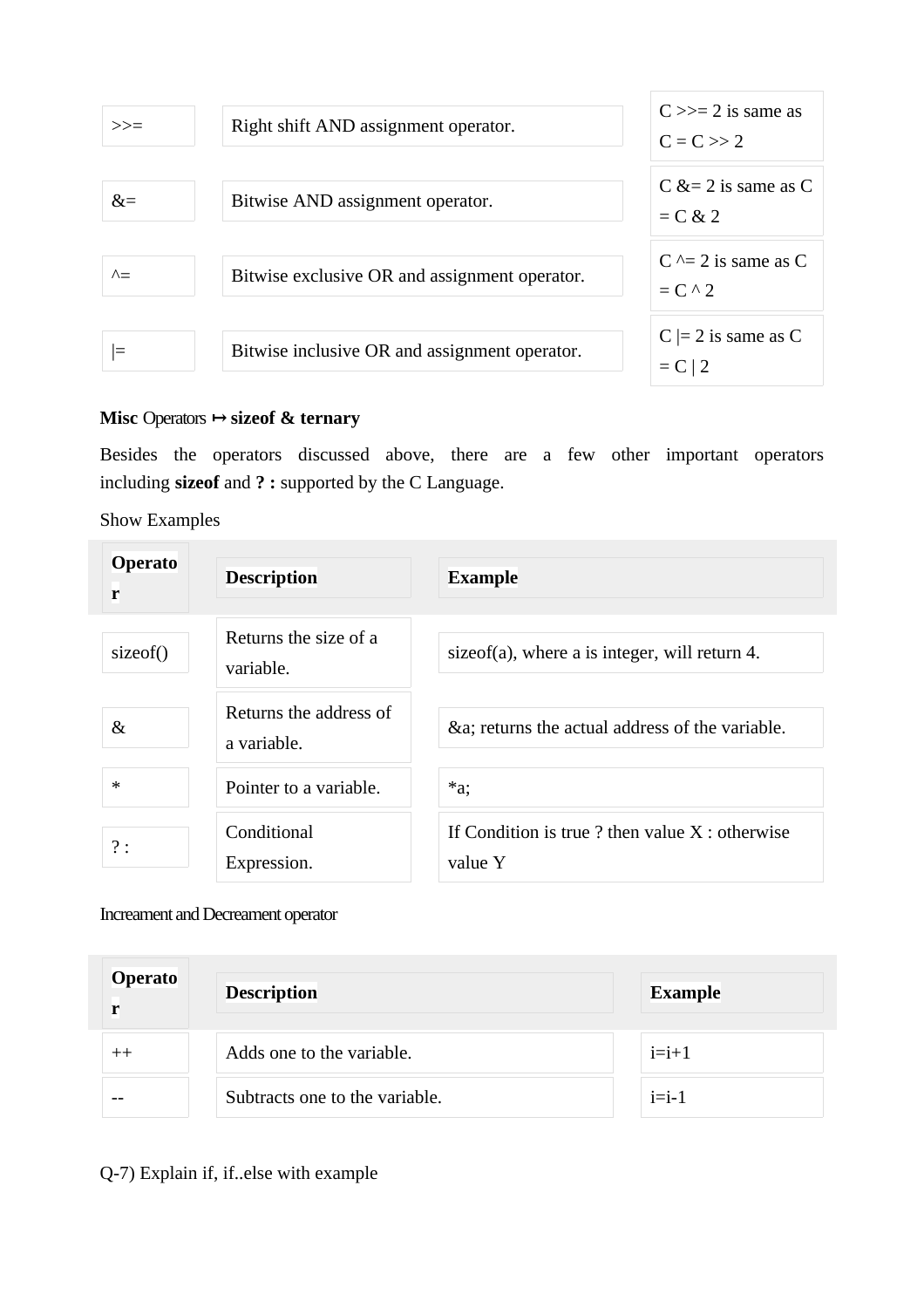

### **Misc Operators**  $\mapsto$  **sizeof & ternary**

Besides the operators discussed above, there are a few other important operators including **sizeof** and **? :** supported by the C Language.

[Show Examples](http://www.tutorialspoint.com/cprogramming/c_sizeof_operator.htm)

| <b>Operato</b><br>r | <b>Description</b>                    | <b>Example</b>                                              |
|---------------------|---------------------------------------|-------------------------------------------------------------|
| sizeof()            | Returns the size of a<br>variable.    | sizeof(a), where a is integer, will return 4.               |
| $\&$                | Returns the address of<br>a variable. | &a returns the actual address of the variable.              |
| $\ast$              | Pointer to a variable.                | $*a$ ;                                                      |
| ?:                  | Conditional<br>Expression.            | If Condition is true ? then value $X:$ otherwise<br>value Y |

Increament and Decreament operator

| <b>Operato</b><br>r | <b>Description</b>             | <b>Example</b> |
|---------------------|--------------------------------|----------------|
| $^{\mathrm{++}}$    | Adds one to the variable.      | $i=i+1$        |
|                     | Subtracts one to the variable. | $i=i-1$        |

Q-7) Explain if, if..else with example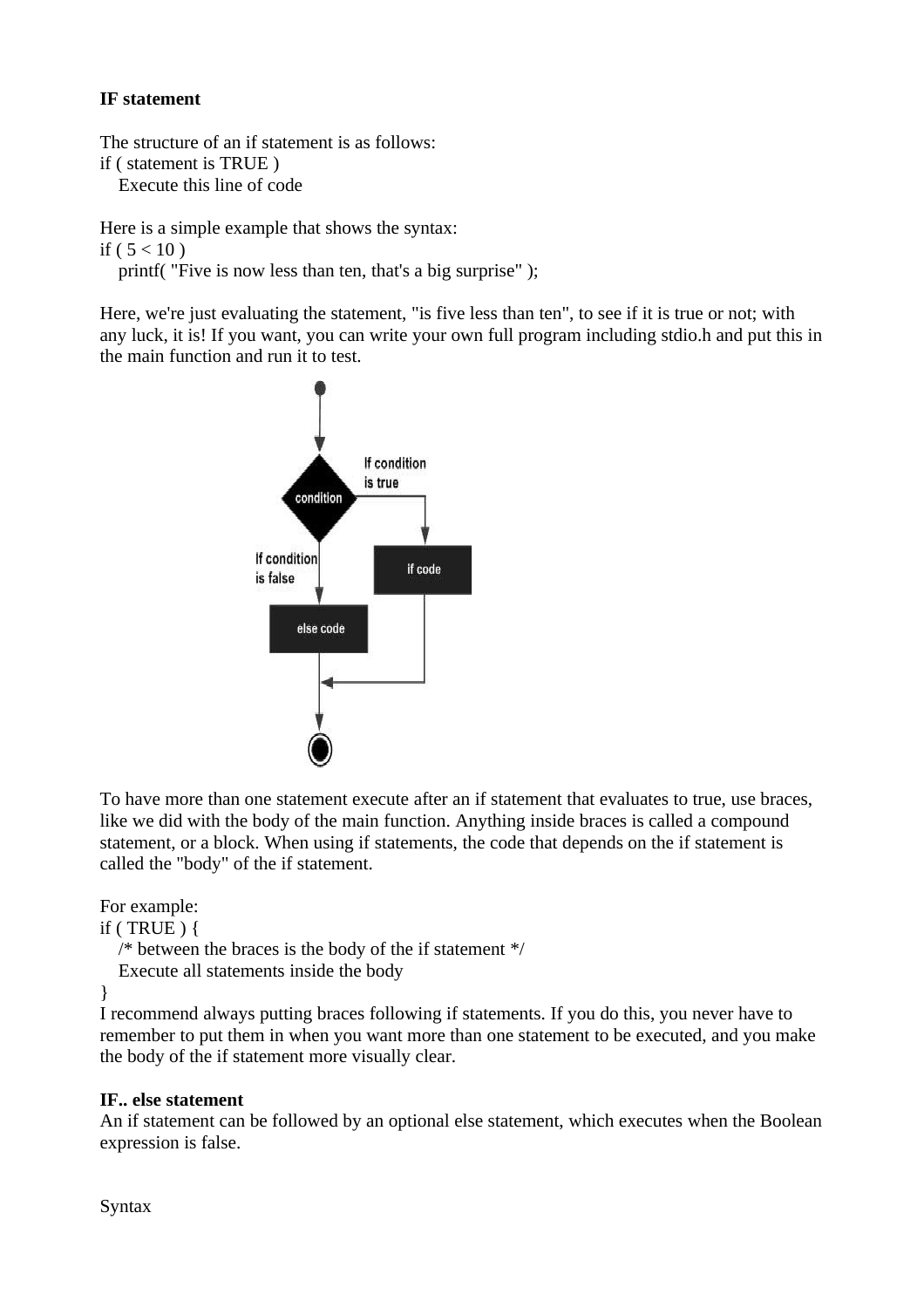### **IF statement**

The structure of an if statement is as follows: if ( statement is TRUE ) Execute this line of code

Here is a simple example that shows the syntax: if ( $5 < 10$ )

printf( "Five is now less than ten, that's a big surprise" );

Here, we're just evaluating the statement, "is five less than ten", to see if it is true or not; with any luck, it is! If you want, you can write your own full program including stdio.h and put this in the main function and run it to test.



To have more than one statement execute after an if statement that evaluates to true, use braces, like we did with the body of the main function. Anything inside braces is called a compound statement, or a block. When using if statements, the code that depends on the if statement is called the "body" of the if statement.

For example:

if (TRUE)  $\{$ 

 /\* between the braces is the body of the if statement \*/ Execute all statements inside the body

}

I recommend always putting braces following if statements. If you do this, you never have to remember to put them in when you want more than one statement to be executed, and you make the body of the if statement more visually clear.

# **IF.. else statement**

An if statement can be followed by an optional else statement, which executes when the Boolean expression is false.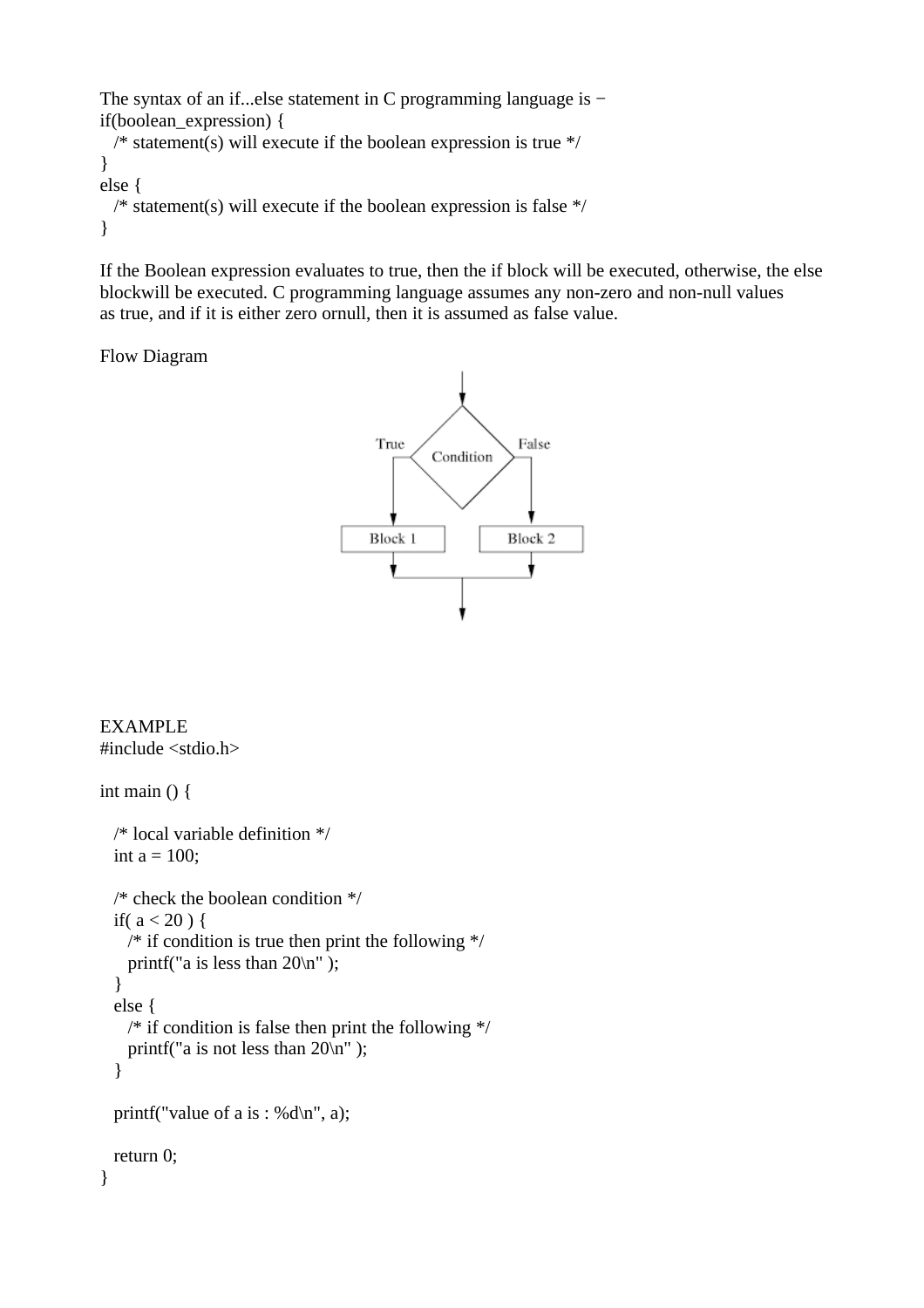```
The syntax of an if...else statement in C programming language is −
if(boolean_expression) {
 /* statement(s) will execute if the boolean expression is true */}
else {
  /* statement(s) will execute if the boolean expression is false */
}
```
If the Boolean expression evaluates to true, then the if block will be executed, otherwise, the else blockwill be executed. C programming language assumes any non-zero and non-null values as true, and if it is either zero ornull, then it is assumed as false value.

Flow Diagram



EXAMPLE #include <stdio.h>

```
int main () \{ /* local variable definition */
 int a = 100;
  /* check the boolean condition */
 if(a < 20) {
    /* if condition is true then print the following */
    printf("a is less than 20\n" );
   }
   else {
   /* if condition is false then print the following */ printf("a is not less than 20\n" );
   }
  printf("value of a is : %d\n", a);
  return 0;
}
```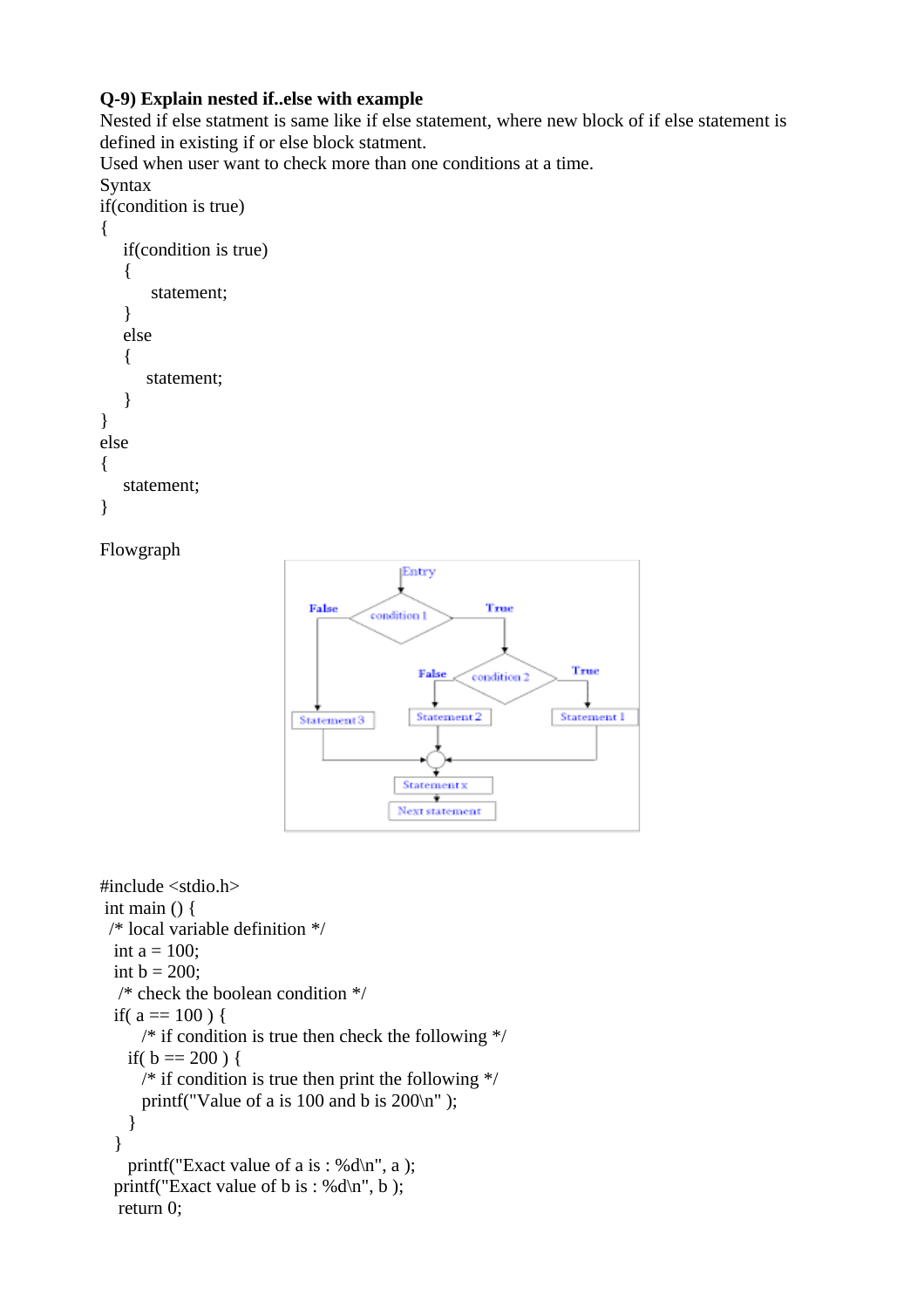### **Q-9) Explain nested if..else with example**

Nested if else statment is same like if else statement, where new block of if else statement is defined in existing if or else block statment.

Used when user want to check more than one conditions at a time. **Syntax** if(condition is true) { if(condition is true)  $\{$  statement; } else { statement; } } else {

```
statement;
}
```
### Flowgraph



```
#include <stdio.h>
 int main () {
  /* local variable definition */
 int a = 100;
  int b = 200;
   /* check the boolean condition */
 if(a == 100) {
      /* if condition is true then check the following */
   if( b == 200 ) {
     /* if condition is true then print the following */printf("Value of a is 100 and b is 200\ln");
    }
   }
   printf("Exact value of a is : %d\n", a );
 printf("Exact value of b is : %d\n", b );
   return 0;
```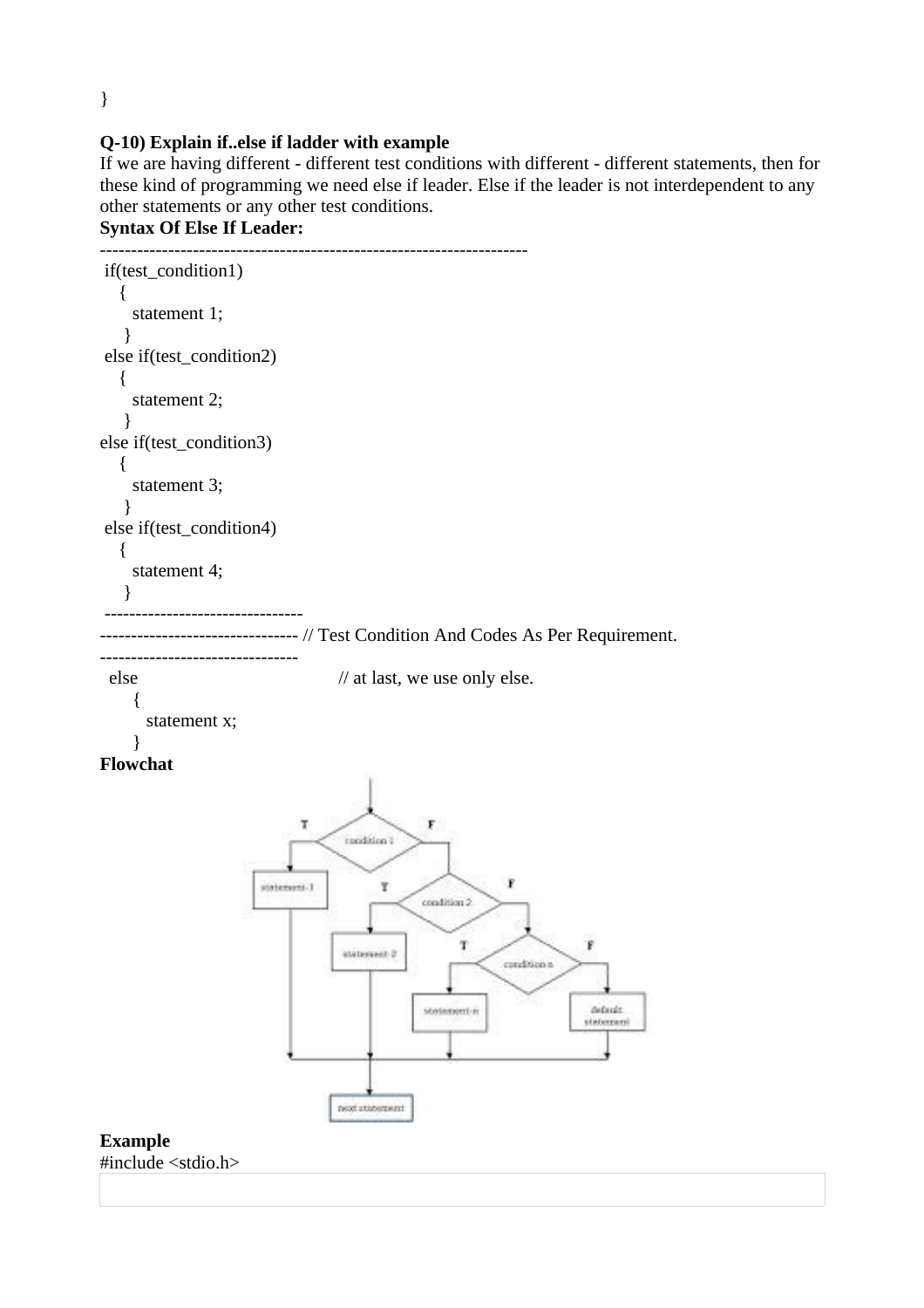}

### **Q-10) Explain if..else if ladder with example**

If we are having different - different test conditions with different - different statements, then for these kind of programming we need else if leader. Else if the leader is not interdependent to any other statements or any other test conditions.

```
Syntax Of Else If Leader:
```

```
---------------------------------------------------------------------
if(test_condition1)
    {
     statement 1;
   }
else if(test_condition2)
    {
     statement 2;
   }
else if(test_condition3)
    {
     statement 3;
   }
else if(test_condition4)
    {
     statement 4;
   }
 --------------------------------
                  -------------- // Test Condition And Codes As Per Requirement.
--------------------------------
 else // at last, we use only else.
     {
       statement x;
     }
Flowchat
                               Ţ
                                                   F
                                      condition (
                                                               \mathbf{F}statement-1
                                           Ŧ
                                                  \cosh(4\pi m/2)Ŷ.
                                                       \mathbf Tinitiament 2
                                                              condition n
                                                  stetement-n
                                                                            default.
                                                                           statement
                                     rend statement
Example
#include <stdio.h>
```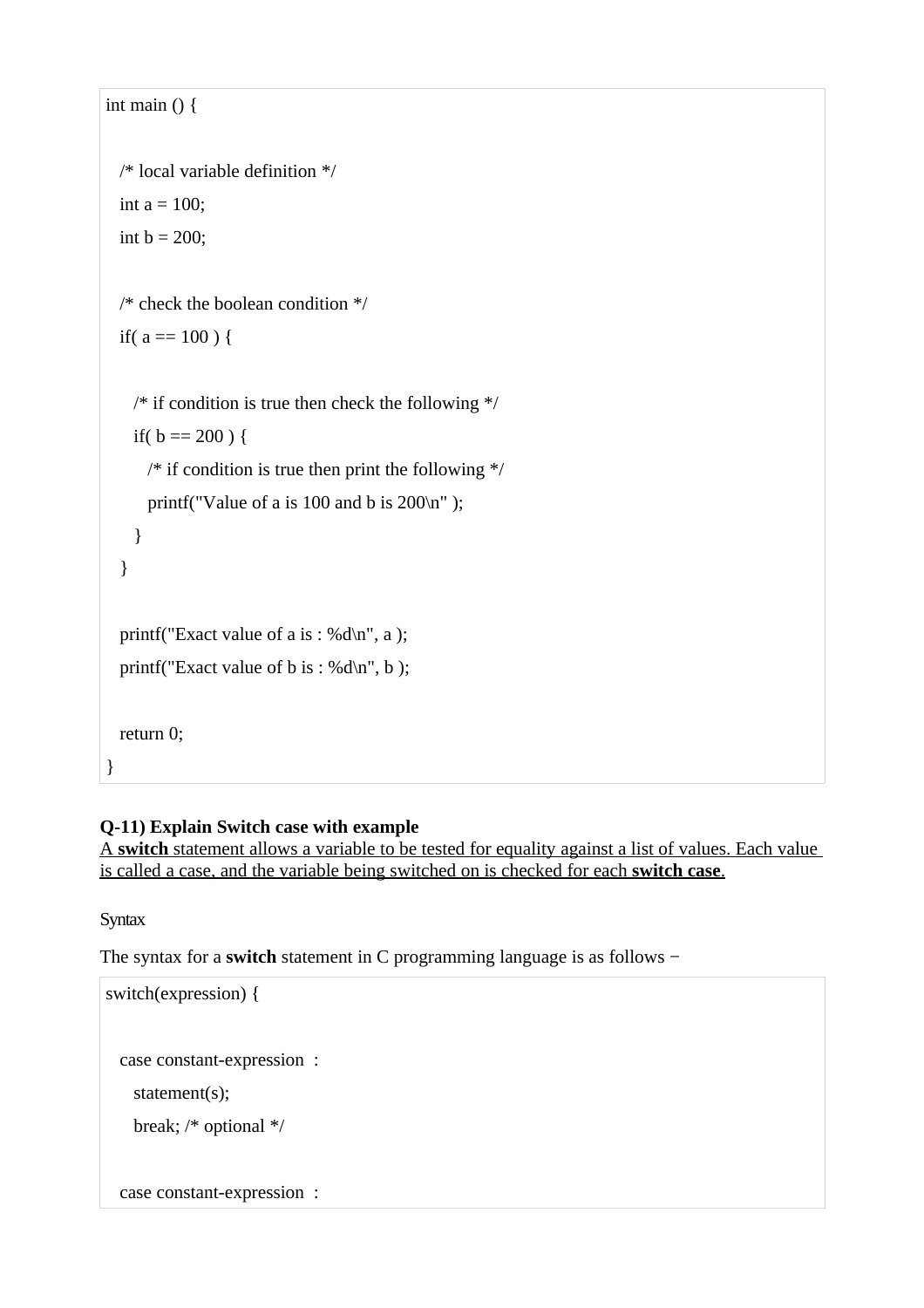```
int main () {
  /* local variable definition */
 int a = 100;
  int b = 200;
  /* check the boolean condition */
 if(a == 100) {
   /* if condition is true then check the following */if( b == 200 ) {
     /* if condition is true then print the following */printf("Value of a is 100 and b is 200\n");
    }
  }
 printf("Exact value of a is : %d\n", a );
 printf("Exact value of b is : %d\n", b );
  return 0;
}
```
# **Q-11) Explain Switch case with example**

 A **switch** statement allows a variable to be tested for equality against a list of values. Each value is called a case, and the variable being switched on is checked for each **switch case**.

**Syntax** 

The syntax for a **switch** statement in C programming language is as follows −

```
switch(expression) {
  case constant-expression :
    statement(s);
    break; /* optional */
  case constant-expression :
```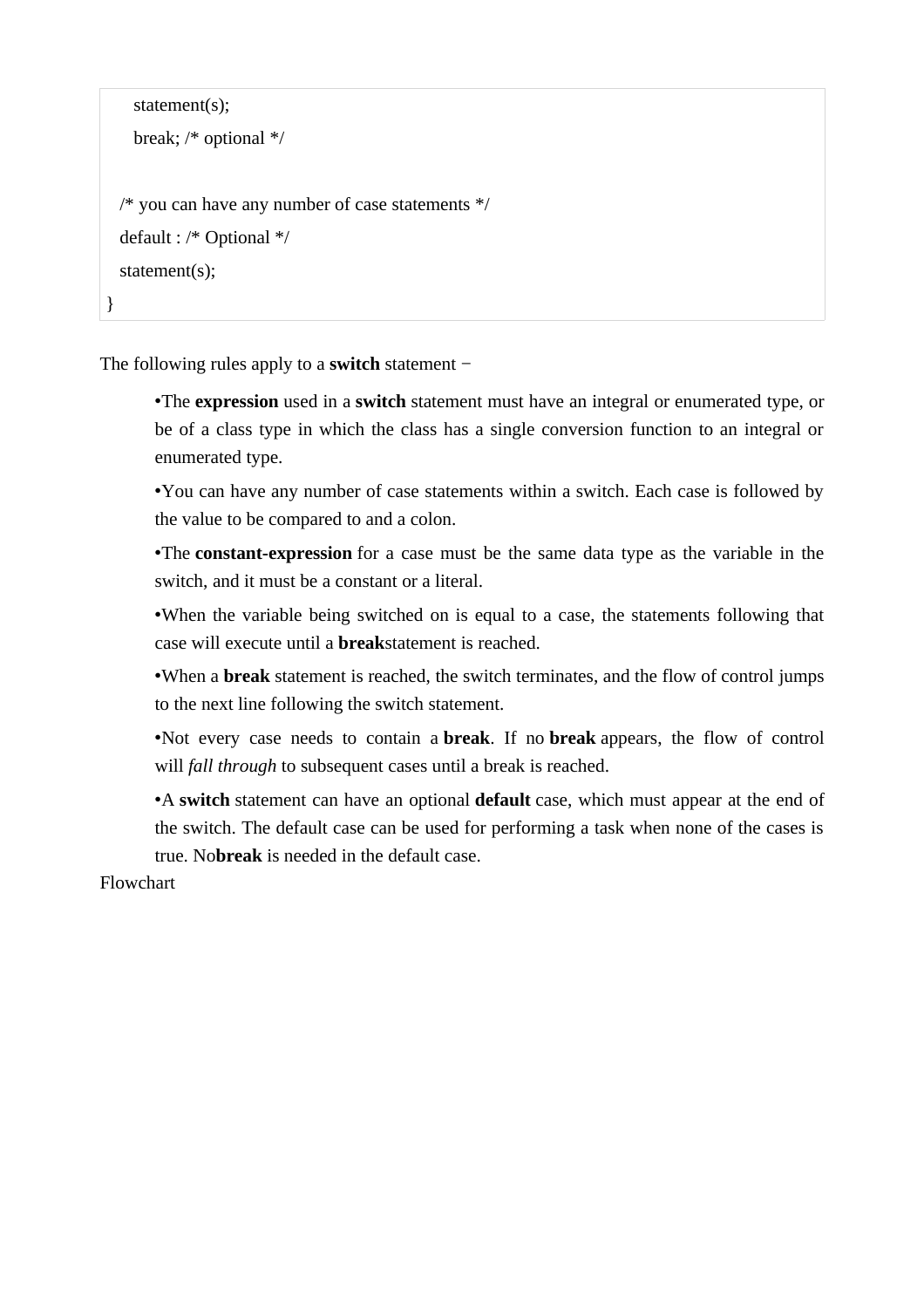```
 statement(s);
    break; /* optional */
  /* you can have any number of case statements */
  default : /* Optional */
  statement(s);
}
```
The following rules apply to a **switch** statement −

•The **expression** used in a **switch** statement must have an integral or enumerated type, or be of a class type in which the class has a single conversion function to an integral or enumerated type.

•You can have any number of case statements within a switch. Each case is followed by the value to be compared to and a colon.

•The **constant-expression** for a case must be the same data type as the variable in the switch, and it must be a constant or a literal.

•When the variable being switched on is equal to a case, the statements following that case will execute until a **break**statement is reached.

•When a **break** statement is reached, the switch terminates, and the flow of control jumps to the next line following the switch statement.

•Not every case needs to contain a **break**. If no **break** appears, the flow of control will *fall through* to subsequent cases until a break is reached.

•A **switch** statement can have an optional **default** case, which must appear at the end of the switch. The default case can be used for performing a task when none of the cases is true. No**break** is needed in the default case.

Flowchart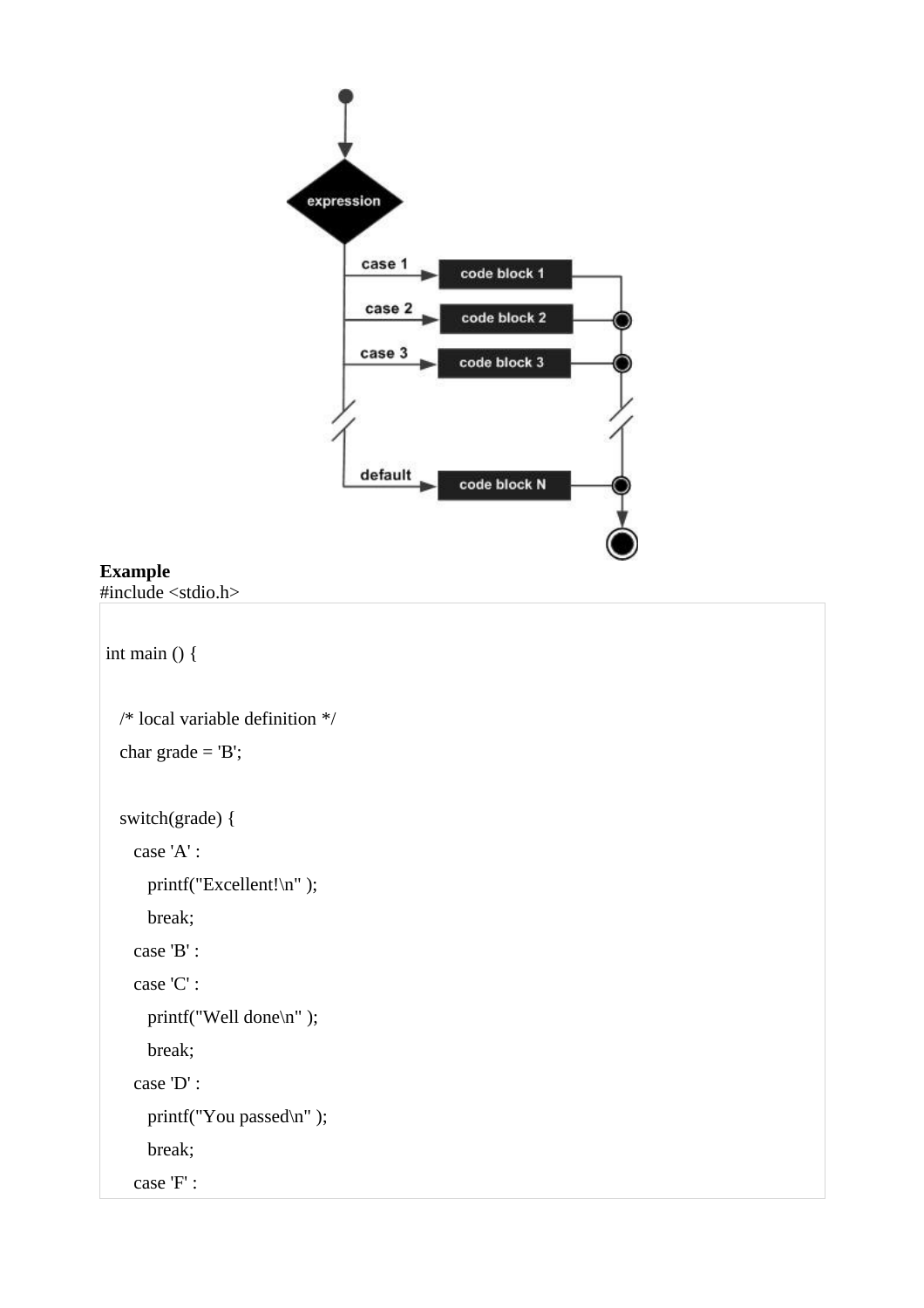

## **Example**

#include <stdio.h>

```
int main () {
  /* local variable definition */
  char grade = 'B';
  switch(grade) {
    case 'A' :
      printf("Excellent!\n" );
       break;
     case 'B' :
     case 'C' :
       printf("Well done\n" );
       break;
     case 'D' :
      printf("You passed\n" );
       break;
     case 'F' :
```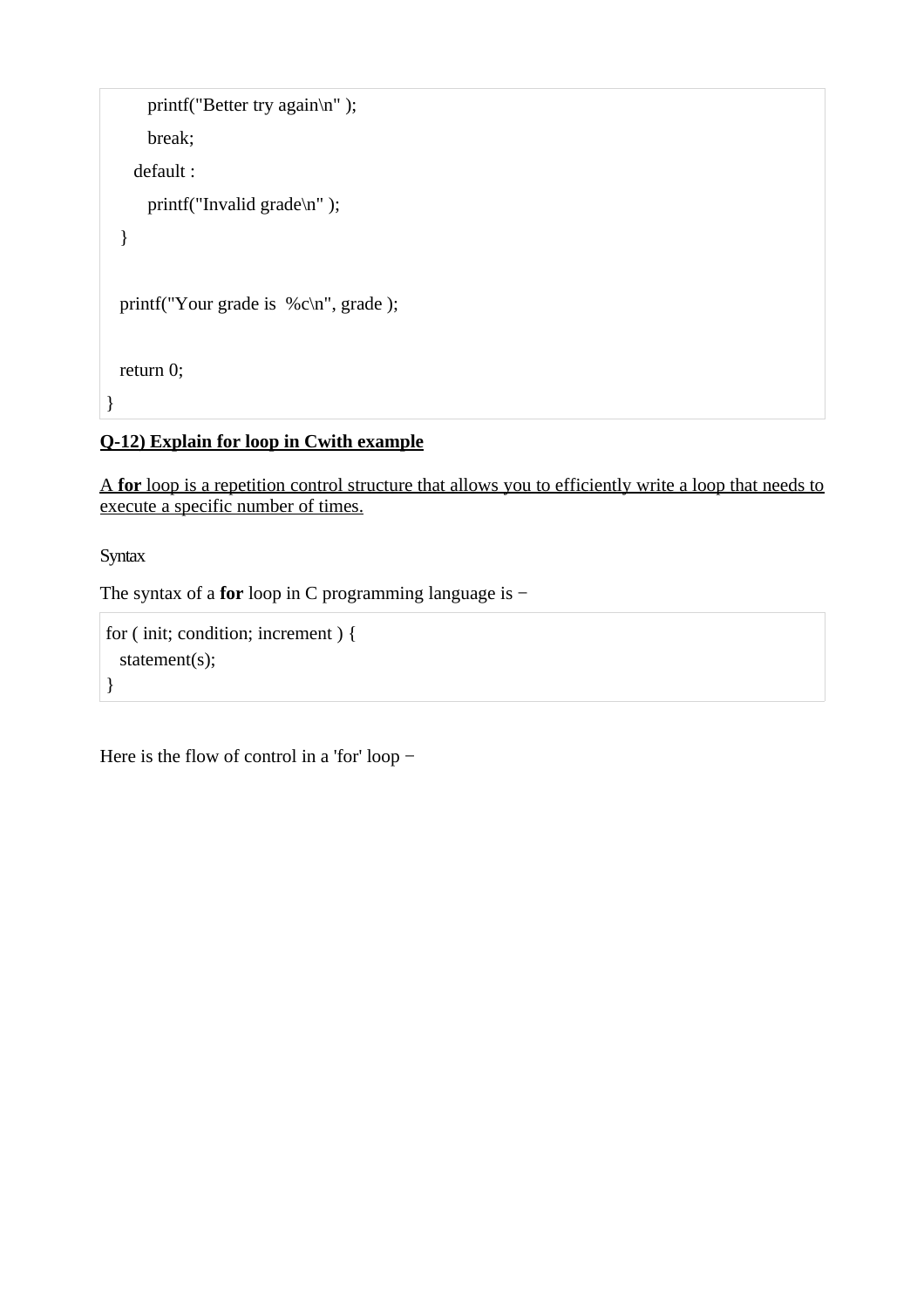```
printf("Better try again\n");
      break;
     default :
       printf("Invalid grade\n" );
   }
 printf("Your grade is %c\n", grade );
   return 0;
}
```
# **Q-12) Explain for loop in Cwith example**

 A **for** loop is a repetition control structure that allows you to efficiently write a loop that needs to execute a specific number of times.

**Syntax** 

The syntax of a **for** loop in C programming language is −

```
for ( init; condition; increment ) {
  statement(s);
}
```
Here is the flow of control in a 'for' loop −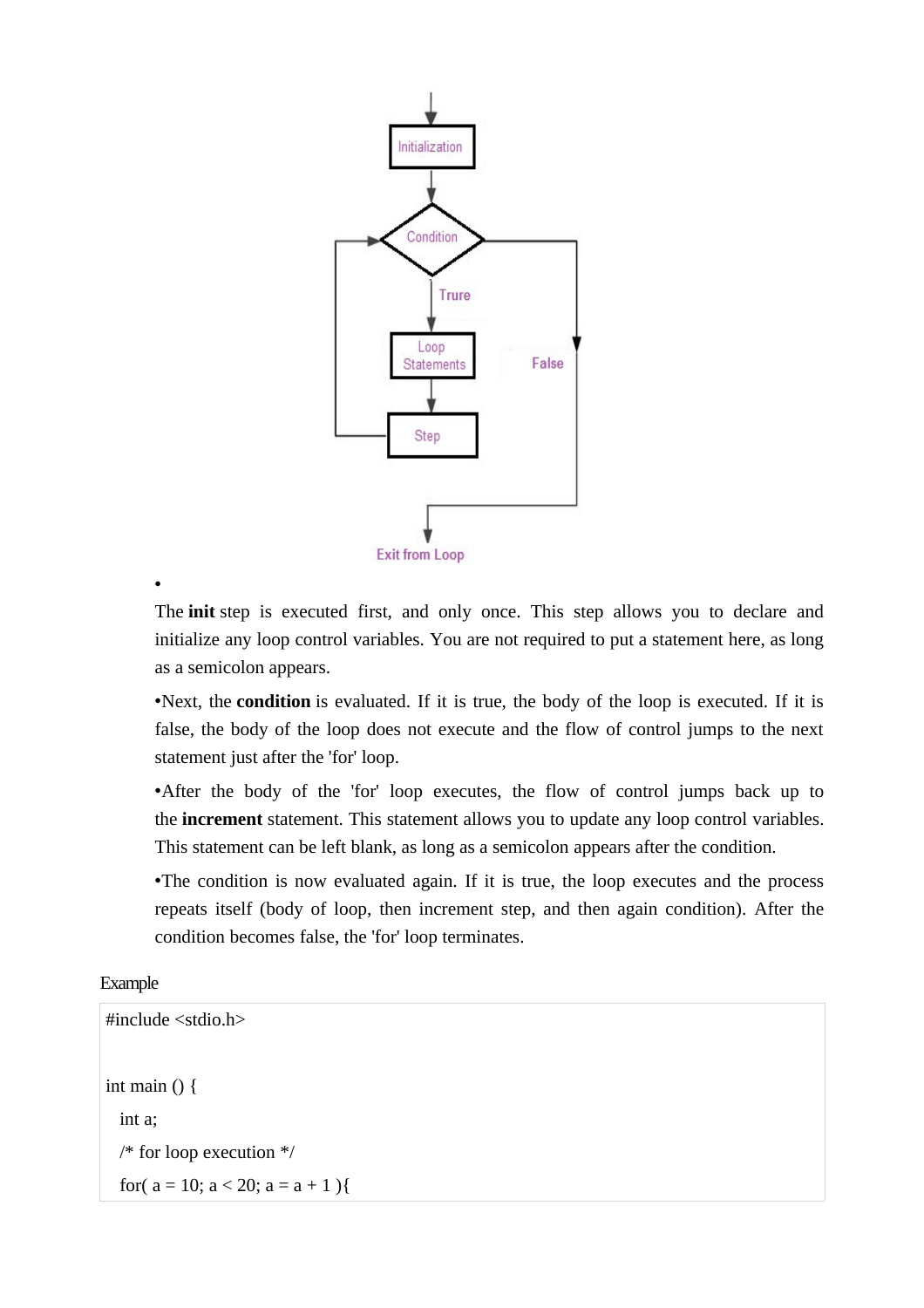

The **init** step is executed first, and only once. This step allows you to declare and initialize any loop control variables. You are not required to put a statement here, as long as a semicolon appears.

•Next, the **condition** is evaluated. If it is true, the body of the loop is executed. If it is false, the body of the loop does not execute and the flow of control jumps to the next statement just after the 'for' loop.

•After the body of the 'for' loop executes, the flow of control jumps back up to the **increment** statement. This statement allows you to update any loop control variables. This statement can be left blank, as long as a semicolon appears after the condition.

•The condition is now evaluated again. If it is true, the loop executes and the process repeats itself (body of loop, then increment step, and then again condition). After the condition becomes false, the 'for' loop terminates.

Example

•

```
#include <stdio.h>
int main () \{ int a;
  /* for loop execution */
 for(a = 10; a < 20; a = a + 1){
```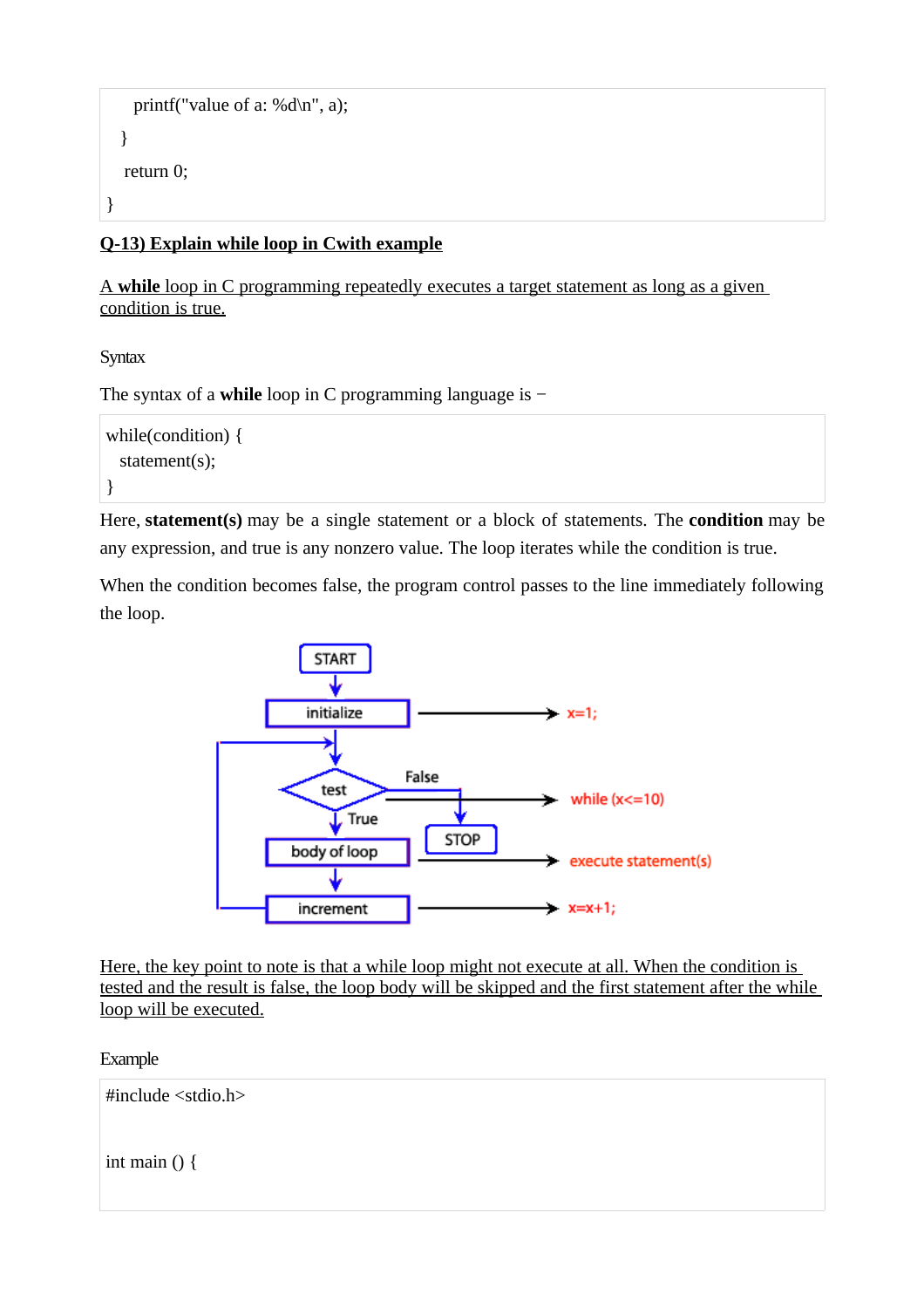```
printf("value of a: %d\ln", a);
   }
   return 0;
}
```
## **Q-13) Explain while loop in Cwith example**

 A **while** loop in C programming repeatedly executes a target statement as long as a given condition is true.

**Syntax** 

The syntax of a **while** loop in C programming language is −

```
while(condition) {
  statement(s);
}
```
Here, **statement(s)** may be a single statement or a block of statements. The **condition** may be any expression, and true is any nonzero value. The loop iterates while the condition is true.

When the condition becomes false, the program control passes to the line immediately following the loop.



Here, the key point to note is that a while loop might not execute at all. When the condition is tested and the result is false, the loop body will be skipped and the first statement after the while loop will be executed.

Example

#include <stdio.h>

int main () {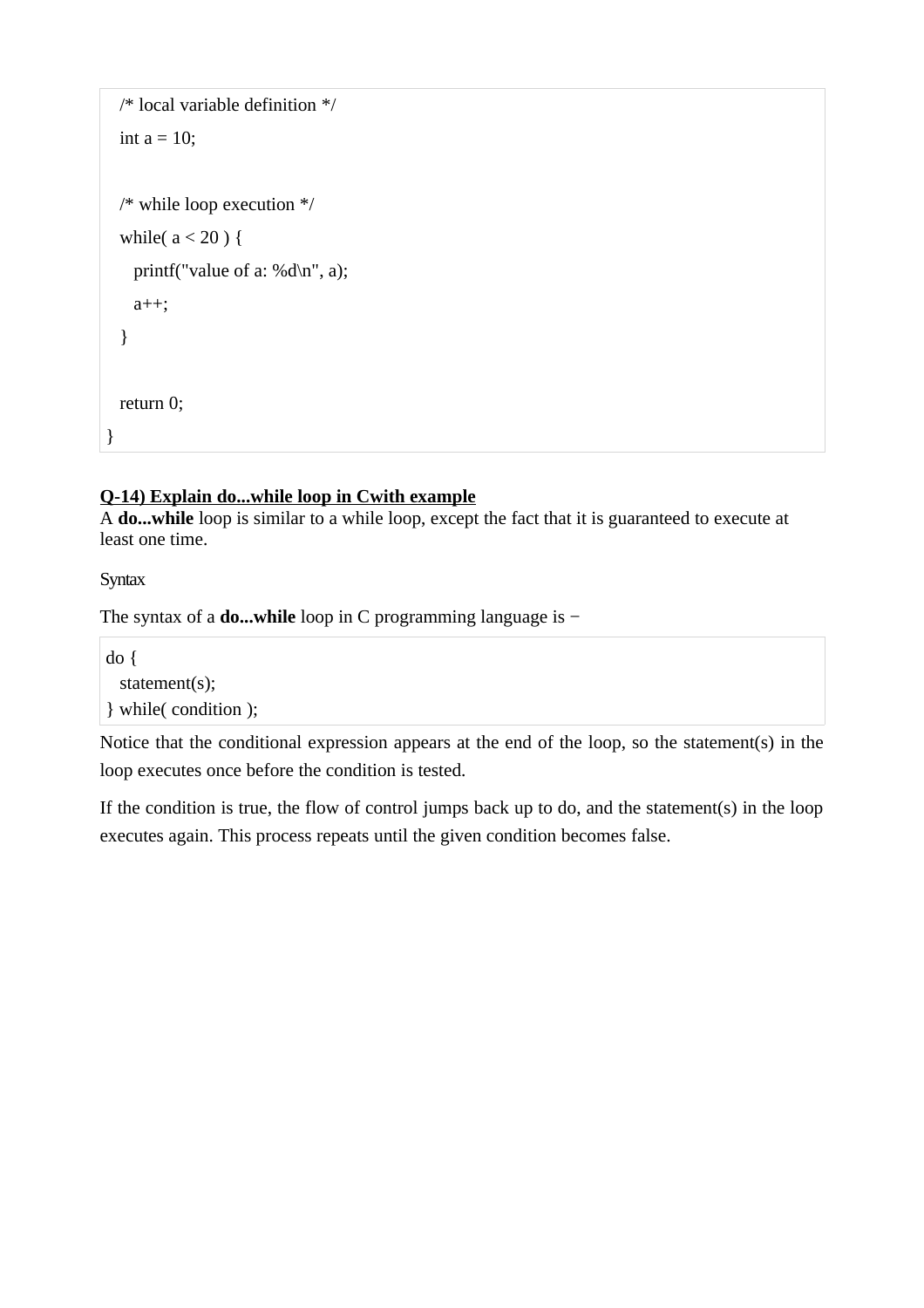```
 /* local variable definition */
  int a = 10;
  /* while loop execution */
  while(a < 20) {
    printf("value of a: %d\n", a);
     a++;
   }
   return 0;
}
```
# **Q-14) Explain do...while loop in Cwith example**

A **do...while** loop is similar to a while loop, except the fact that it is guaranteed to execute at least one time.

**Syntax** 

The syntax of a **do...while** loop in C programming language is −

do { statement(s); } while( condition );

Notice that the conditional expression appears at the end of the loop, so the statement(s) in the loop executes once before the condition is tested.

If the condition is true, the flow of control jumps back up to do, and the statement(s) in the loop executes again. This process repeats until the given condition becomes false.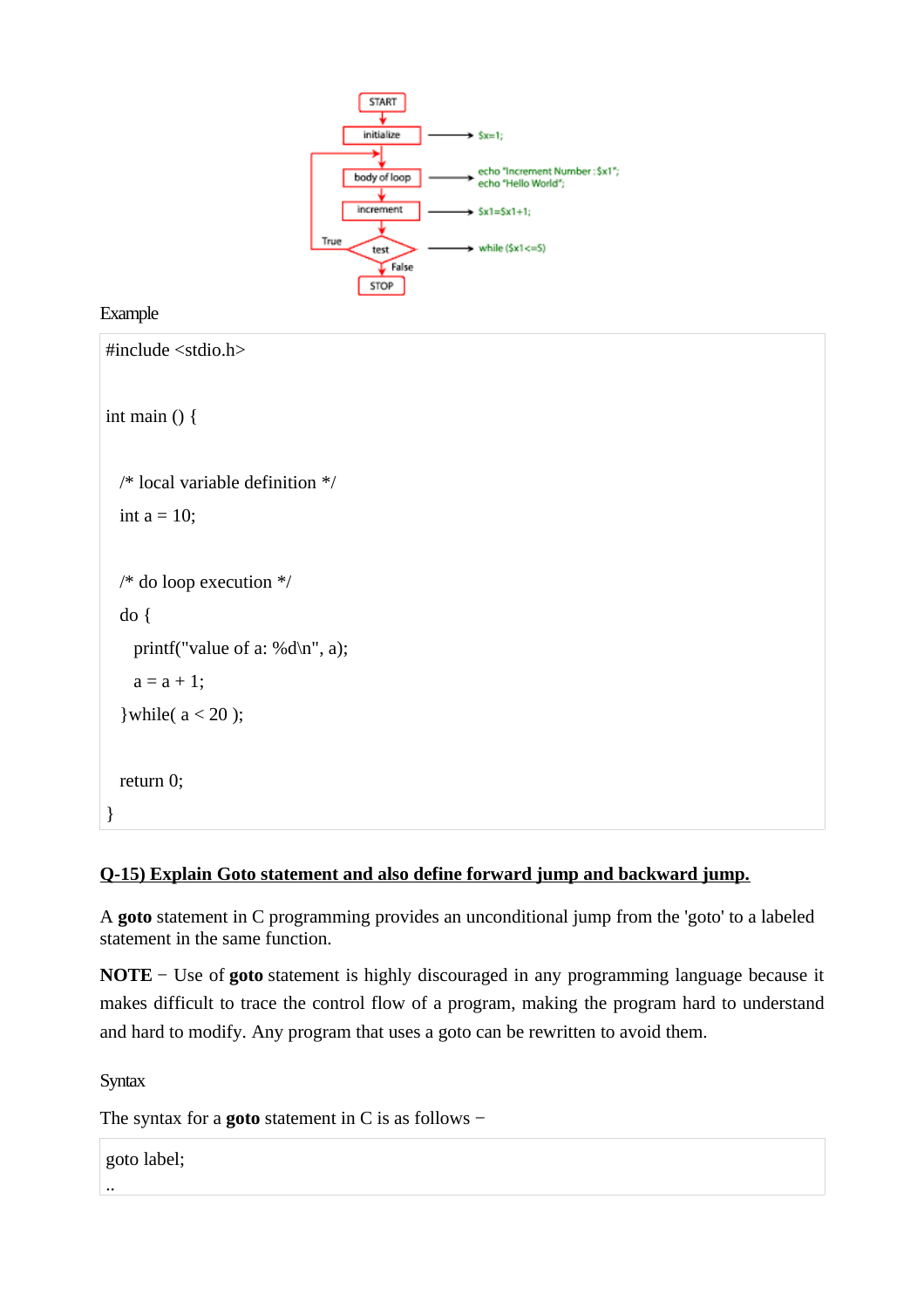

#### Example

```
#include <stdio.h>
int main () {
  /* local variable definition */
 int a = 10;
  /* do loop execution */
  do {
     printf("value of a: %d\n", a);
   a = a + 1;
  } while(a < 20);
  return 0;
}
```
# **Q-15) Explain Goto statement and also define forward jump and backward jump.**

A **goto** statement in C programming provides an unconditional jump from the 'goto' to a labeled statement in the same function.

**NOTE** − Use of **goto** statement is highly discouraged in any programming language because it makes difficult to trace the control flow of a program, making the program hard to understand and hard to modify. Any program that uses a goto can be rewritten to avoid them.

**Syntax** 

..

The syntax for a **goto** statement in C is as follows −

goto label;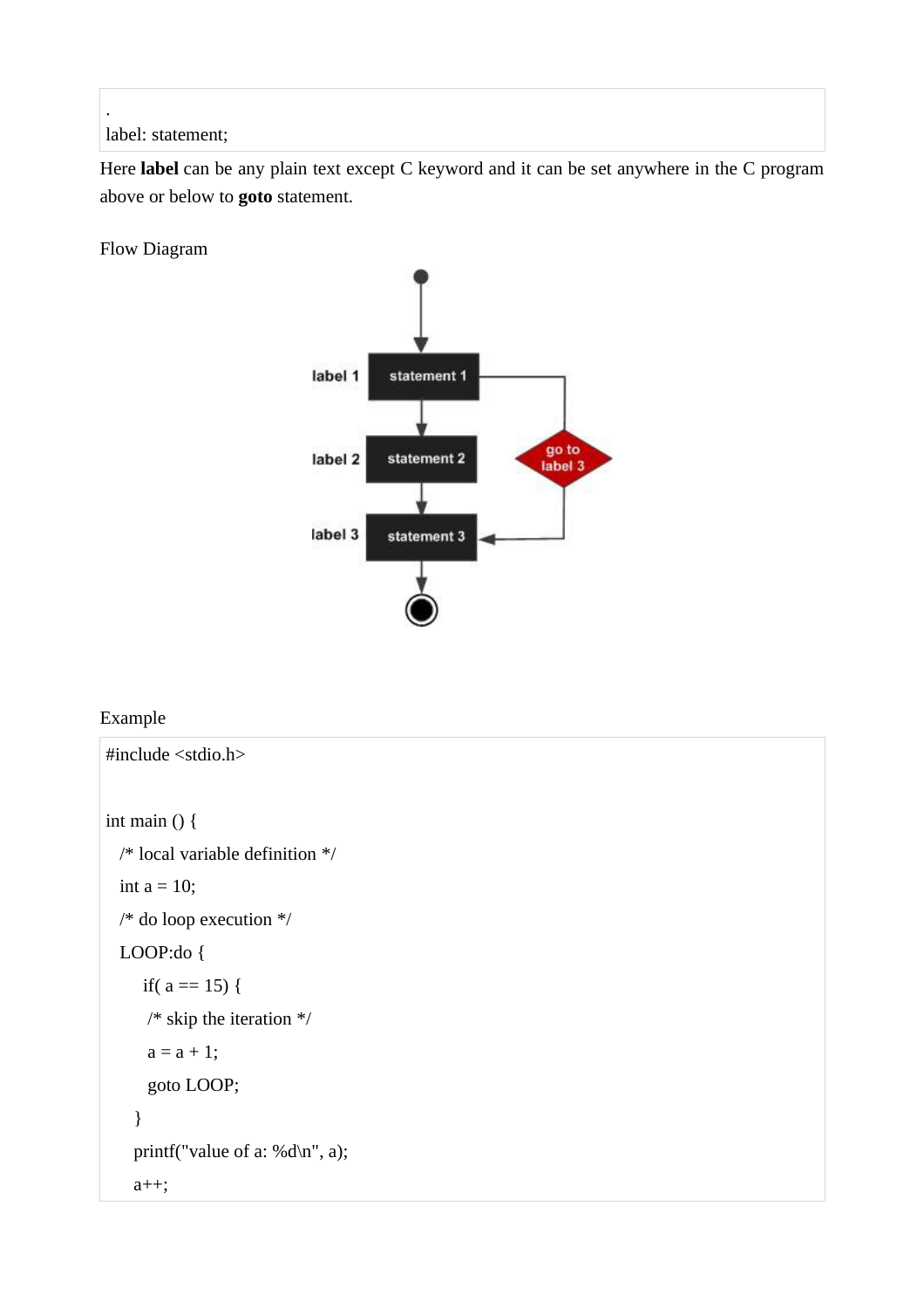label: statement;

.

Here **label** can be any plain text except C keyword and it can be set anywhere in the C program above or below to **goto** statement.

Flow Diagram



# Example

```
#include <stdio.h>
int main () {
  /* local variable definition */
 int a = 10;
  /* do loop execution */
  LOOP:do {
     if(a == 15) {
      /* skip the iteration */
     a = a + 1; goto LOOP;
     } 
   printf("value of a: %d\n", a);
    a++;
```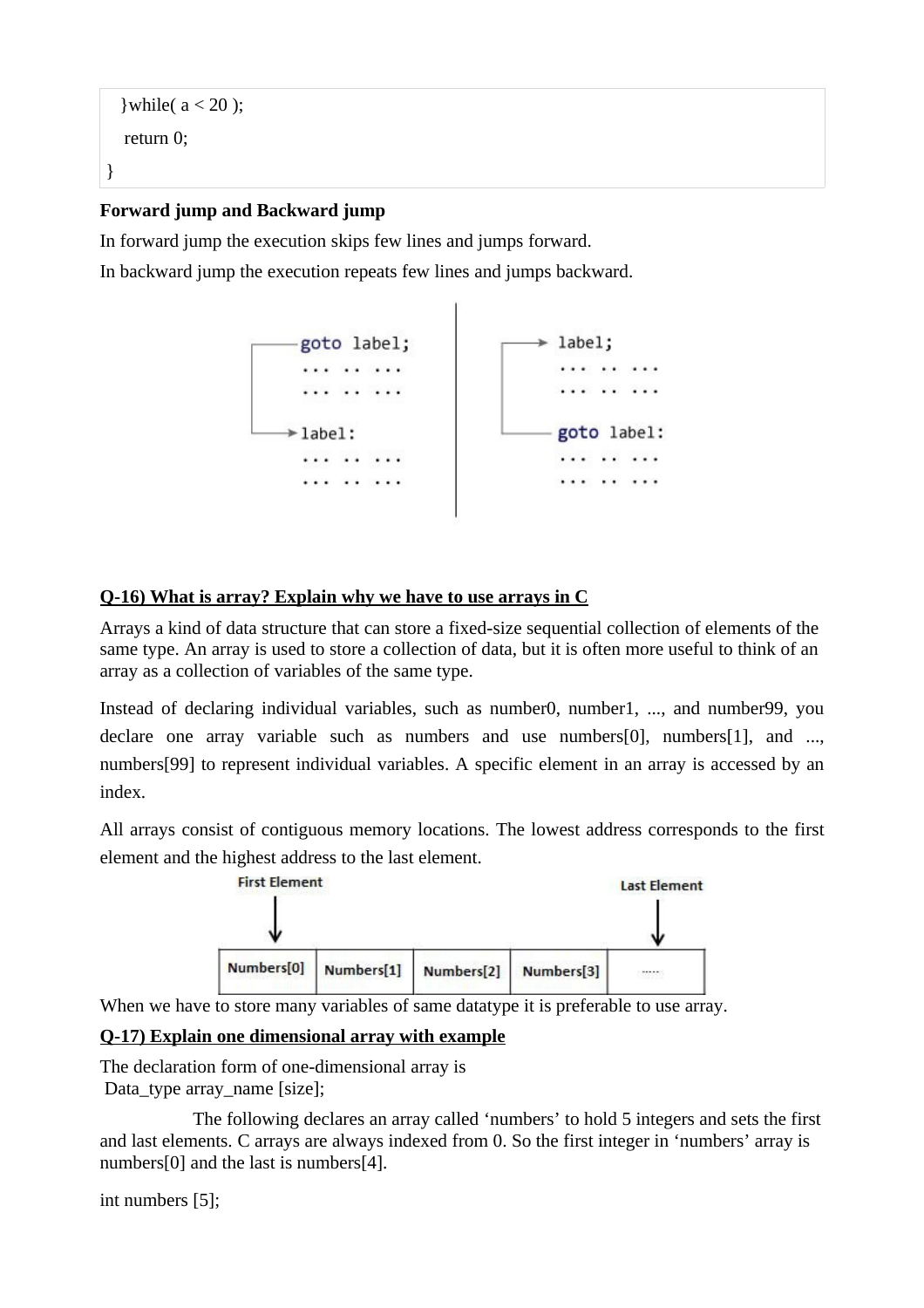```
}while(a < 20);
   return 0;
}
```
# **Forward jump and Backward jump**

In forward jump the execution skips few lines and jumps forward.

In backward jump the execution repeats few lines and jumps backward.



# **Q-16) What is array? Explain why we have to use arrays in C**

Arrays a kind of data structure that can store a fixed-size sequential collection of elements of the same type. An array is used to store a collection of data, but it is often more useful to think of an array as a collection of variables of the same type.

Instead of declaring individual variables, such as number0, number1, ..., and number99, you declare one array variable such as numbers and use numbers[0], numbers[1], and ..., numbers[99] to represent individual variables. A specific element in an array is accessed by an index.

All arrays consist of contiguous memory locations. The lowest address corresponds to the first element and the highest address to the last element.



When we have to store many variables of same datatype it is preferable to use array.

# **Q-17) Explain one dimensional array with example**

The declaration form of one-dimensional array is Data\_type array\_name [size];

The following declares an array called 'numbers' to hold 5 integers and sets the first and last elements. C arrays are always indexed from 0. So the first integer in 'numbers' array is numbers[0] and the last is numbers[4].

```
int numbers [5];
```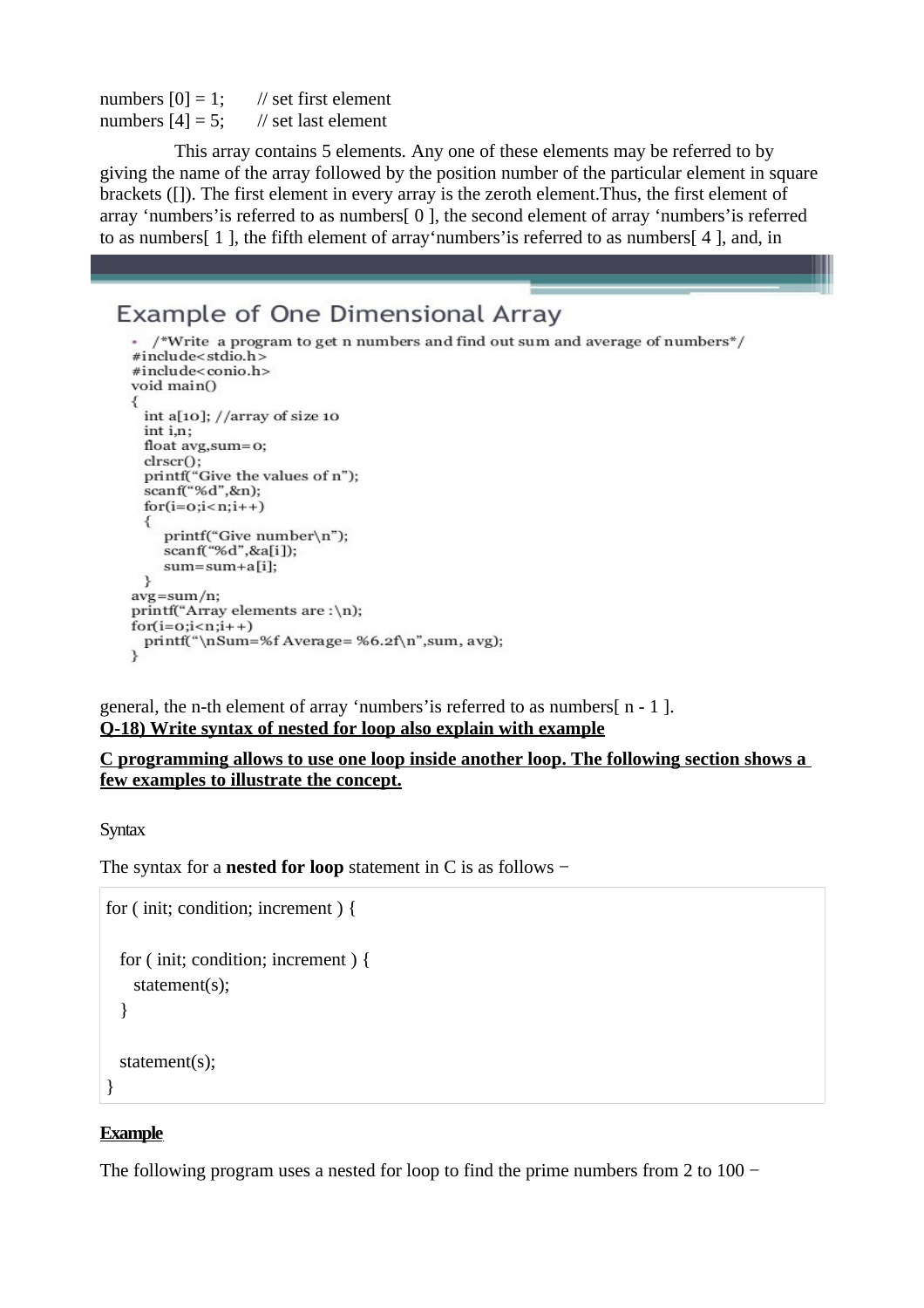numbers  $[0] = 1$ ; // set first element numbers  $[4] = 5$ ; // set last element

This array contains 5 elements*.* Any one of these elements may be referred to by giving the name of the array followed by the position number of the particular element in square brackets ([]). The first element in every array is the zeroth element.Thus, the first element of array 'numbers'is referred to as numbers[ 0 ], the second element of array 'numbers'is referred to as numbers[ 1 ], the fifth element of array'numbers'is referred to as numbers[ 4 ], and, in

# Example of One Dimensional Array

```
\cdot /*Write a program to get n numbers and find out sum and average of numbers*/
#include<stdio.h>
#include<conio.h>
void main()
₹
 int a[10]; //array of size 10
 int i,n;
 float avg, sum=0:
 clrscr();
 printf("Give the values of n");
 scanf("%d",\&n);for(i=0;i=n;i++)printf("Give number\n");
    scanf("%d",&a[i]);
    sum = sum + a[i];ι
avg = sum/n;printf("Array elements are :\n);
for(i=0;i<n;i++)printf("\nSum=%f Average=%6.2f\n",sum, avg);
<sup>1</sup>
```
general, the n-th element of array 'numbers' is referred to as numbers  $\lceil n - 1 \rceil$ . **Q-18) Write syntax of nested for loop also explain with example**

#### **C programming allows to use one loop inside another loop. The following section shows a few examples to illustrate the concept.**

**Syntax** 

The syntax for a **nested for loop** statement in C is as follows −

```
for ( init; condition; increment ) {
   for ( init; condition; increment ) {
     statement(s);
   }
   statement(s);
}
```
### **Example**

The following program uses a nested for loop to find the prime numbers from 2 to  $100 -$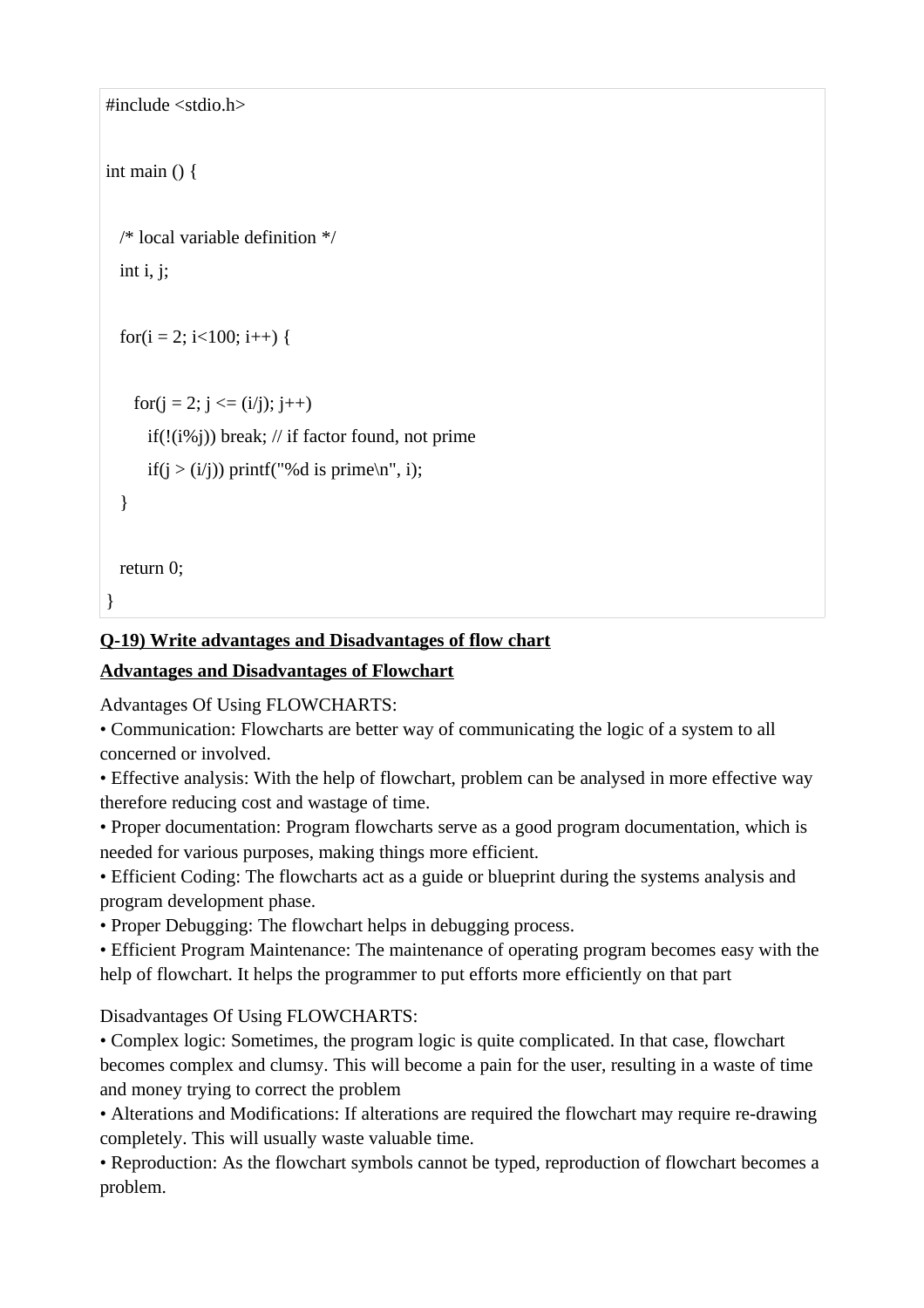```
#include <stdio.h>
int main () \{ /* local variable definition */
  int i, j;
  for(i = 2; i < 100; i++) {
    for(i = 2; i \le i (i); i++)
      if(!(i\%j)) break; // if factor found, not prime
      if(j > (i/j)) printf("%d is prime\n", i);
   }
  return 0;
}
```
# **Q-19) Write advantages and Disadvantages of flow chart**

# **Advantages and Disadvantages of Flowchart**

Advantages Of Using FLOWCHARTS:

• Communication: Flowcharts are better way of communicating the logic of a system to all concerned or involved.

• Effective analysis: With the help of flowchart, problem can be analysed in more effective way therefore reducing cost and wastage of time.

• Proper documentation: Program flowcharts serve as a good program documentation, which is needed for various purposes, making things more efficient.

• Efficient Coding: The flowcharts act as a guide or blueprint during the systems analysis and program development phase.

• Proper Debugging: The flowchart helps in debugging process.

• Efficient Program Maintenance: The maintenance of operating program becomes easy with the help of flowchart. It helps the programmer to put efforts more efficiently on that part

# Disadvantages Of Using FLOWCHARTS:

• Complex logic: Sometimes, the program logic is quite complicated. In that case, flowchart becomes complex and clumsy. This will become a pain for the user, resulting in a waste of time and money trying to correct the problem

• Alterations and Modifications: If alterations are required the flowchart may require re-drawing completely. This will usually waste valuable time.

• Reproduction: As the flowchart symbols cannot be typed, reproduction of flowchart becomes a problem.